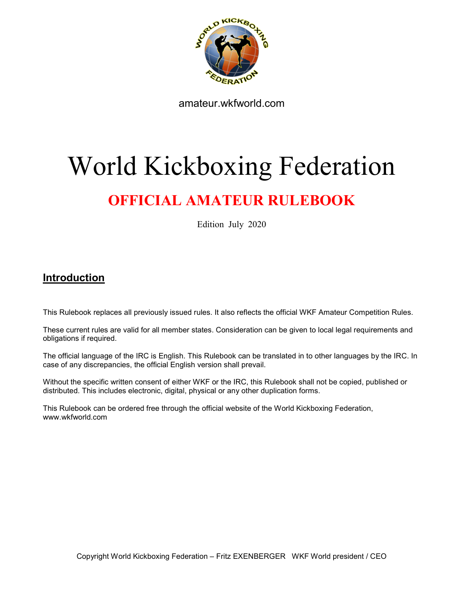

amateur.wkfworld.com

# World Kickboxing Federation

# OFFICIAL AMATEUR RULEBOOK

Edition July 2020

# Introduction

This Rulebook replaces all previously issued rules. It also reflects the official WKF Amateur Competition Rules.

These current rules are valid for all member states. Consideration can be given to local legal requirements and obligations if required.

The official language of the IRC is English. This Rulebook can be translated in to other languages by the IRC. In case of any discrepancies, the official English version shall prevail.

Without the specific written consent of either WKF or the IRC, this Rulebook shall not be copied, published or distributed. This includes electronic, digital, physical or any other duplication forms.

This Rulebook can be ordered free through the official website of the World Kickboxing Federation, www.wkfworld.com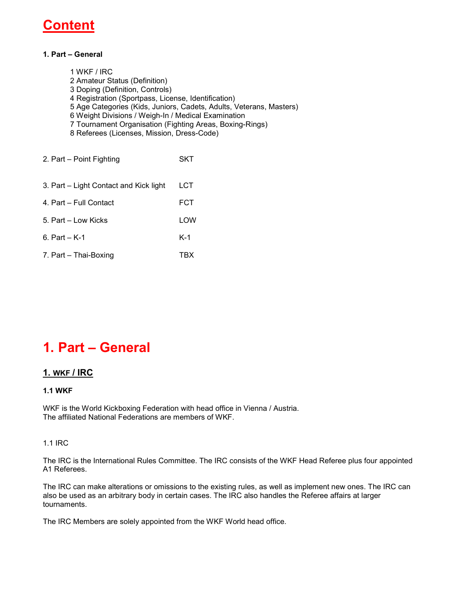# Conten

#### 1. Part – General

1 WKF / IRC 2 Amateur Status (Definition) 3 Doping (Definition, Controls) 4 Registration (Sportpass, License, Identification) 5 Age Categories (Kids, Juniors, Cadets, Adults, Veterans, Masters) 6 Weight Divisions / Weigh-In / Medical Examination 7 Tournament Organisation (Fighting Areas, Boxing-Rings) 8 Referees (Licenses, Mission, Dress-Code) 2. Part – Point Fighting SKT 3. Part – Light Contact and Kick light LCT 4. Part – Full Contact FCT 5. Part – Low Kicks LOW 6. Part – K-1 K-1 7. Part – Thai-Boxing TBX

# 1. Part – General

### 1. WKF / IRC

#### 1.1 WKF

WKF is the World Kickboxing Federation with head office in Vienna / Austria. The affiliated National Federations are members of WKF.

#### 1.1 IRC

The IRC is the International Rules Committee. The IRC consists of the WKF Head Referee plus four appointed A1 Referees.

The IRC can make alterations or omissions to the existing rules, as well as implement new ones. The IRC can also be used as an arbitrary body in certain cases. The IRC also handles the Referee affairs at larger tournaments.

The IRC Members are solely appointed from the WKF World head office.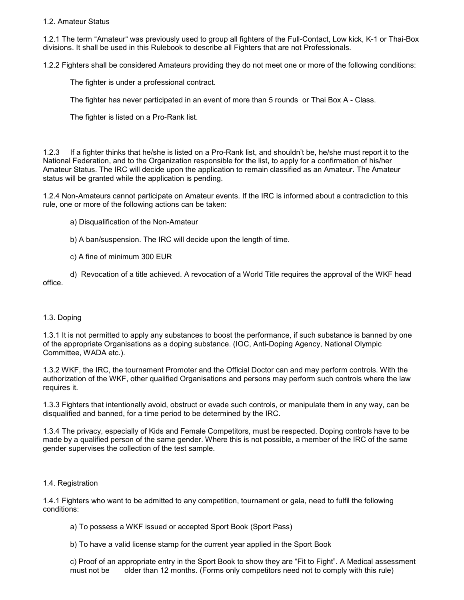1.2. Amateur Status

1.2.1 The term "Amateur" was previously used to group all fighters of the Full-Contact, Low kick, K-1 or Thai-Box divisions. It shall be used in this Rulebook to describe all Fighters that are not Professionals.

1.2.2 Fighters shall be considered Amateurs providing they do not meet one or more of the following conditions:

The fighter is under a professional contract.

The fighter has never participated in an event of more than 5 rounds or Thai Box A - Class.

The fighter is listed on a Pro-Rank list.

1.2.3 If a fighter thinks that he/she is listed on a Pro-Rank list, and shouldn't be, he/she must report it to the National Federation, and to the Organization responsible for the list, to apply for a confirmation of his/her Amateur Status. The IRC will decide upon the application to remain classified as an Amateur. The Amateur status will be granted while the application is pending.

1.2.4 Non-Amateurs cannot participate on Amateur events. If the IRC is informed about a contradiction to this rule, one or more of the following actions can be taken:

- a) Disqualification of the Non-Amateur
- b) A ban/suspension. The IRC will decide upon the length of time.
- c) A fine of minimum 300 EUR
- d) Revocation of a title achieved. A revocation of a World Title requires the approval of the WKF head office.

#### 1.3. Doping

1.3.1 It is not permitted to apply any substances to boost the performance, if such substance is banned by one of the appropriate Organisations as a doping substance. (IOC, Anti-Doping Agency, National Olympic Committee, WADA etc.).

1.3.2 WKF, the IRC, the tournament Promoter and the Official Doctor can and may perform controls. With the authorization of the WKF, other qualified Organisations and persons may perform such controls where the law requires it.

1.3.3 Fighters that intentionally avoid, obstruct or evade such controls, or manipulate them in any way, can be disqualified and banned, for a time period to be determined by the IRC.

1.3.4 The privacy, especially of Kids and Female Competitors, must be respected. Doping controls have to be made by a qualified person of the same gender. Where this is not possible, a member of the IRC of the same gender supervises the collection of the test sample.

#### 1.4. Registration

1.4.1 Fighters who want to be admitted to any competition, tournament or gala, need to fulfil the following conditions:

- a) To possess a WKF issued or accepted Sport Book (Sport Pass)
- b) To have a valid license stamp for the current year applied in the Sport Book

c) Proof of an appropriate entry in the Sport Book to show they are "Fit to Fight". A Medical assessment must not be older than 12 months. (Forms only competitors need not to comply with this rule)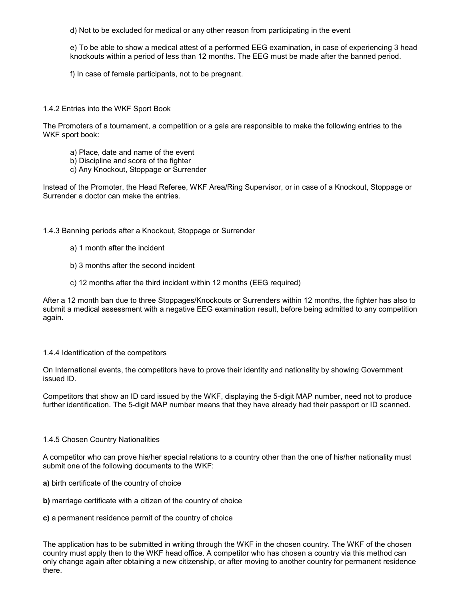d) Not to be excluded for medical or any other reason from participating in the event

e) To be able to show a medical attest of a performed EEG examination, in case of experiencing 3 head knockouts within a period of less than 12 months. The EEG must be made after the banned period.

f) In case of female participants, not to be pregnant.

1.4.2 Entries into the WKF Sport Book

The Promoters of a tournament, a competition or a gala are responsible to make the following entries to the WKF sport book:

- a) Place, date and name of the event
- b) Discipline and score of the fighter
- c) Any Knockout, Stoppage or Surrender

Instead of the Promoter, the Head Referee, WKF Area/Ring Supervisor, or in case of a Knockout, Stoppage or Surrender a doctor can make the entries.

#### 1.4.3 Banning periods after a Knockout, Stoppage or Surrender

- a) 1 month after the incident
- b) 3 months after the second incident
- c) 12 months after the third incident within 12 months (EEG required)

After a 12 month ban due to three Stoppages/Knockouts or Surrenders within 12 months, the fighter has also to submit a medical assessment with a negative EEG examination result, before being admitted to any competition again.

#### 1.4.4 Identification of the competitors

On International events, the competitors have to prove their identity and nationality by showing Government issued ID.

Competitors that show an ID card issued by the WKF, displaying the 5-digit MAP number, need not to produce further identification. The 5-digit MAP number means that they have already had their passport or ID scanned.

#### 1.4.5 Chosen Country Nationalities

A competitor who can prove his/her special relations to a country other than the one of his/her nationality must submit one of the following documents to the WKF:

- a) birth certificate of the country of choice
- b) marriage certificate with a citizen of the country of choice

#### c) a permanent residence permit of the country of choice

The application has to be submitted in writing through the WKF in the chosen country. The WKF of the chosen country must apply then to the WKF head office. A competitor who has chosen a country via this method can only change again after obtaining a new citizenship, or after moving to another country for permanent residence there.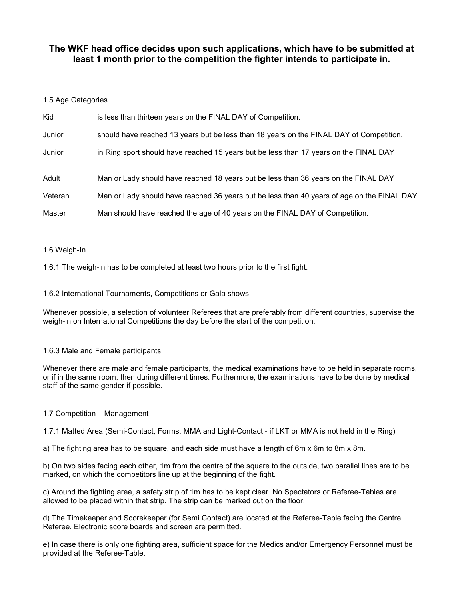# The WKF head office decides upon such applications, which have to be submitted at least 1 month prior to the competition the fighter intends to participate in.

#### 1.5 Age Categories

| Kid     | is less than thirteen years on the FINAL DAY of Competition.                               |
|---------|--------------------------------------------------------------------------------------------|
| Junior  | should have reached 13 years but be less than 18 years on the FINAL DAY of Competition.    |
| Junior  | in Ring sport should have reached 15 years but be less than 17 years on the FINAL DAY      |
|         |                                                                                            |
| Adult   | Man or Lady should have reached 18 years but be less than 36 years on the FINAL DAY        |
| Veteran | Man or Lady should have reached 36 years but be less than 40 years of age on the FINAL DAY |
| Master  | Man should have reached the age of 40 years on the FINAL DAY of Competition.               |

#### 1.6 Weigh-In

1.6.1 The weigh-in has to be completed at least two hours prior to the first fight.

#### 1.6.2 International Tournaments, Competitions or Gala shows

Whenever possible, a selection of volunteer Referees that are preferably from different countries, supervise the weigh-in on International Competitions the day before the start of the competition.

#### 1.6.3 Male and Female participants

Whenever there are male and female participants, the medical examinations have to be held in separate rooms, or if in the same room, then during different times. Furthermore, the examinations have to be done by medical staff of the same gender if possible.

#### 1.7 Competition – Management

1.7.1 Matted Area (Semi-Contact, Forms, MMA and Light-Contact - if LKT or MMA is not held in the Ring)

a) The fighting area has to be square, and each side must have a length of 6m x 6m to 8m x 8m.

b) On two sides facing each other, 1m from the centre of the square to the outside, two parallel lines are to be marked, on which the competitors line up at the beginning of the fight.

c) Around the fighting area, a safety strip of 1m has to be kept clear. No Spectators or Referee-Tables are allowed to be placed within that strip. The strip can be marked out on the floor.

d) The Timekeeper and Scorekeeper (for Semi Contact) are located at the Referee-Table facing the Centre Referee. Electronic score boards and screen are permitted.

e) In case there is only one fighting area, sufficient space for the Medics and/or Emergency Personnel must be provided at the Referee-Table.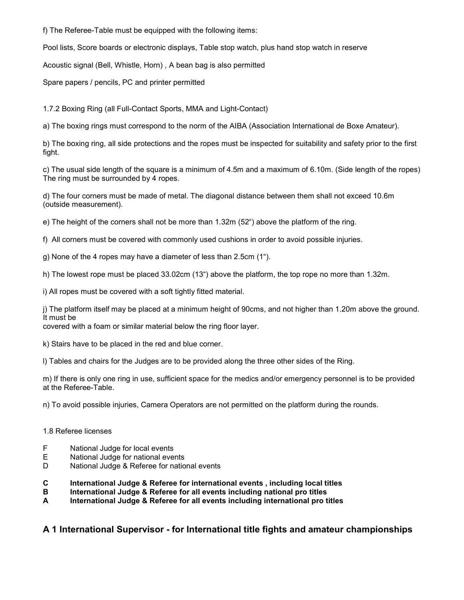f) The Referee-Table must be equipped with the following items:

Pool lists, Score boards or electronic displays, Table stop watch, plus hand stop watch in reserve

Acoustic signal (Bell, Whistle, Horn) , A bean bag is also permitted

Spare papers / pencils, PC and printer permitted

1.7.2 Boxing Ring (all Full-Contact Sports, MMA and Light-Contact)

a) The boxing rings must correspond to the norm of the AIBA (Association International de Boxe Amateur).

b) The boxing ring, all side protections and the ropes must be inspected for suitability and safety prior to the first fight.

c) The usual side length of the square is a minimum of 4.5m and a maximum of 6.10m. (Side length of the ropes) The ring must be surrounded by 4 ropes.

d) The four corners must be made of metal. The diagonal distance between them shall not exceed 10.6m (outside measurement).

e) The height of the corners shall not be more than 1.32m (52") above the platform of the ring.

f) All corners must be covered with commonly used cushions in order to avoid possible injuries.

g) None of the 4 ropes may have a diameter of less than 2.5cm (1").

h) The lowest rope must be placed 33.02cm (13") above the platform, the top rope no more than 1.32m.

i) All ropes must be covered with a soft tightly fitted material.

j) The platform itself may be placed at a minimum height of 90cms, and not higher than 1.20m above the ground. It must be

covered with a foam or similar material below the ring floor layer.

k) Stairs have to be placed in the red and blue corner.

l) Tables and chairs for the Judges are to be provided along the three other sides of the Ring.

m) If there is only one ring in use, sufficient space for the medics and/or emergency personnel is to be provided at the Referee-Table.

n) To avoid possible injuries, Camera Operators are not permitted on the platform during the rounds.

#### 1.8 Referee licenses

- F National Judge for local events
- E National Judge for national events
- D National Judge & Referee for national events
- C International Judge & Referee for international events , including local titles
- B International Judge & Referee for all events including national pro titles
- A International Judge & Referee for all events including international pro titles

# A 1 International Supervisor - for International title fights and amateur championships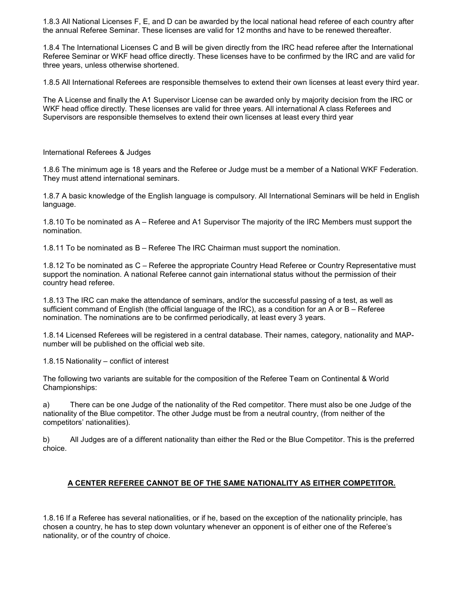1.8.3 All National Licenses F, E, and D can be awarded by the local national head referee of each country after the annual Referee Seminar. These licenses are valid for 12 months and have to be renewed thereafter.

1.8.4 The International Licenses C and B will be given directly from the IRC head referee after the International Referee Seminar or WKF head office directly. These licenses have to be confirmed by the IRC and are valid for three years, unless otherwise shortened.

1.8.5 All International Referees are responsible themselves to extend their own licenses at least every third year.

The A License and finally the A1 Supervisor License can be awarded only by majority decision from the IRC or WKF head office directly. These licenses are valid for three years. All international A class Referees and Supervisors are responsible themselves to extend their own licenses at least every third year

International Referees & Judges

1.8.6 The minimum age is 18 years and the Referee or Judge must be a member of a National WKF Federation. They must attend international seminars.

1.8.7 A basic knowledge of the English language is compulsory. All International Seminars will be held in English language.

1.8.10 To be nominated as A – Referee and A1 Supervisor The majority of the IRC Members must support the nomination.

1.8.11 To be nominated as B – Referee The IRC Chairman must support the nomination.

1.8.12 To be nominated as C – Referee the appropriate Country Head Referee or Country Representative must support the nomination. A national Referee cannot gain international status without the permission of their country head referee.

1.8.13 The IRC can make the attendance of seminars, and/or the successful passing of a test, as well as sufficient command of English (the official language of the IRC), as a condition for an A or B – Referee nomination. The nominations are to be confirmed periodically, at least every 3 years.

1.8.14 Licensed Referees will be registered in a central database. Their names, category, nationality and MAPnumber will be published on the official web site.

1.8.15 Nationality – conflict of interest

The following two variants are suitable for the composition of the Referee Team on Continental & World Championships:

a) There can be one Judge of the nationality of the Red competitor. There must also be one Judge of the nationality of the Blue competitor. The other Judge must be from a neutral country, (from neither of the competitors' nationalities).

b) All Judges are of a different nationality than either the Red or the Blue Competitor. This is the preferred choice.

#### A CENTER REFEREE CANNOT BE OF THE SAME NATIONALITY AS EITHER COMPETITOR.

1.8.16 If a Referee has several nationalities, or if he, based on the exception of the nationality principle, has chosen a country, he has to step down voluntary whenever an opponent is of either one of the Referee's nationality, or of the country of choice.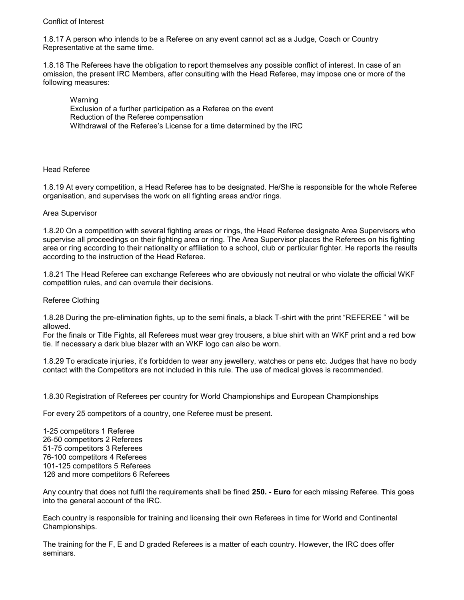#### Conflict of Interest

1.8.17 A person who intends to be a Referee on any event cannot act as a Judge, Coach or Country Representative at the same time.

1.8.18 The Referees have the obligation to report themselves any possible conflict of interest. In case of an omission, the present IRC Members, after consulting with the Head Referee, may impose one or more of the following measures:

Warning Exclusion of a further participation as a Referee on the event Reduction of the Referee compensation Withdrawal of the Referee's License for a time determined by the IRC

#### Head Referee

1.8.19 At every competition, a Head Referee has to be designated. He/She is responsible for the whole Referee organisation, and supervises the work on all fighting areas and/or rings.

#### Area Supervisor

1.8.20 On a competition with several fighting areas or rings, the Head Referee designate Area Supervisors who supervise all proceedings on their fighting area or ring. The Area Supervisor places the Referees on his fighting area or ring according to their nationality or affiliation to a school, club or particular fighter. He reports the results according to the instruction of the Head Referee.

1.8.21 The Head Referee can exchange Referees who are obviously not neutral or who violate the official WKF competition rules, and can overrule their decisions.

Referee Clothing

1.8.28 During the pre-elimination fights, up to the semi finals, a black T-shirt with the print "REFEREE " will be allowed.

For the finals or Title Fights, all Referees must wear grey trousers, a blue shirt with an WKF print and a red bow tie. If necessary a dark blue blazer with an WKF logo can also be worn.

1.8.29 To eradicate injuries, it's forbidden to wear any jewellery, watches or pens etc. Judges that have no body contact with the Competitors are not included in this rule. The use of medical gloves is recommended.

1.8.30 Registration of Referees per country for World Championships and European Championships

For every 25 competitors of a country, one Referee must be present.

1-25 competitors 1 Referee 26-50 competitors 2 Referees 51-75 competitors 3 Referees 76-100 competitors 4 Referees 101-125 competitors 5 Referees 126 and more competitors 6 Referees

Any country that does not fulfil the requirements shall be fined 250. - Euro for each missing Referee. This goes into the general account of the IRC.

Each country is responsible for training and licensing their own Referees in time for World and Continental Championships.

The training for the F, E and D graded Referees is a matter of each country. However, the IRC does offer seminars.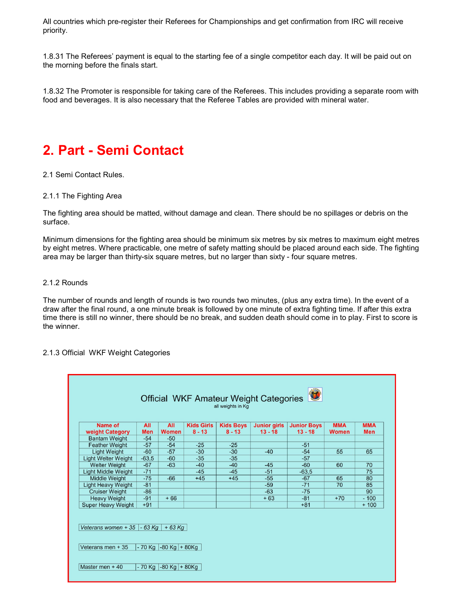All countries which pre-register their Referees for Championships and get confirmation from IRC will receive priority.

1.8.31 The Referees' payment is equal to the starting fee of a single competitor each day. It will be paid out on the morning before the finals start.

1.8.32 The Promoter is responsible for taking care of the Referees. This includes providing a separate room with food and beverages. It is also necessary that the Referee Tables are provided with mineral water.

# 2. Part - Semi Contact

2.1 Semi Contact Rules.

#### 2.1.1 The Fighting Area

The fighting area should be matted, without damage and clean. There should be no spillages or debris on the surface.

Minimum dimensions for the fighting area should be minimum six metres by six metres to maximum eight metres by eight metres. Where practicable, one metre of safety matting should be placed around each side. The fighting area may be larger than thirty-six square metres, but no larger than sixty - four square metres.

#### 2.1.2 Rounds

The number of rounds and length of rounds is two rounds two minutes, (plus any extra time). In the event of a draw after the final round, a one minute break is followed by one minute of extra fighting time. If after this extra time there is still no winner, there should be no break, and sudden death should come in to play. First to score is the winner.

#### 2.1.3 Official WKF Weight Categories

| Name of                                  | All        | All          | <b>Kids Girls</b> | <b>Kids Boys</b> | <b>Junior girls</b> | <b>Junior Boys</b> | <b>MMA</b>   | <b>MMA</b> |
|------------------------------------------|------------|--------------|-------------------|------------------|---------------------|--------------------|--------------|------------|
| weight Category                          | <b>Men</b> | <b>Women</b> | $8 - 13$          | $8 - 13$         | $13 - 18$           | $13 - 18$          | <b>Women</b> | <b>Men</b> |
| <b>Bantam Weight</b>                     | $-54$      | $-50$        |                   |                  |                     |                    |              |            |
| <b>Feather Weight</b>                    | $-57$      | $-54$        | $-25$             | $-25$            |                     | $-51$              |              |            |
| <b>Light Weight</b>                      | $-60$      | $-57$        | $-30$             | $-30$            | $-40$               | $-54$              | 55           | 65         |
| <b>Light Welter Weight</b>               | $-63,5$    | $-60$        | $-35$             | $-35$            |                     | $-57$              |              |            |
| <b>Welter Weight</b>                     | $-67$      | $-63$        | $-40$             | $-40$            | $-45$               | $-60$              | 60           | 70         |
| <b>Light Middle Weight</b>               | $-71$      |              | $-45$             | $-45$            | $-51$               | $-63,5$            |              | 75         |
| <b>Middle Weight</b>                     | $-75$      | $-66$        | $+45$             | $+45$            | $-55$               | $-67$              | 65           | 80         |
| <b>Light Heavy Weight</b>                | $-81$      |              |                   |                  | $-59$               | $-71$              | 70           | 85         |
| <b>Cruiser Weight</b>                    | $-86$      |              |                   |                  | $-63$               | $-75$              |              | 90         |
| <b>Heavy Weight</b>                      | $-91$      | $+66$        |                   |                  | $+63$               | $-81$              | $+70$        | $-100$     |
| <b>Super Heavy Weight</b>                | $+91$      |              |                   |                  |                     | $+81$              |              | $+100$     |
| Veterans women + 35 $-63$ Kg<br>$+63$ Kg |            |              |                   |                  |                     |                    |              |            |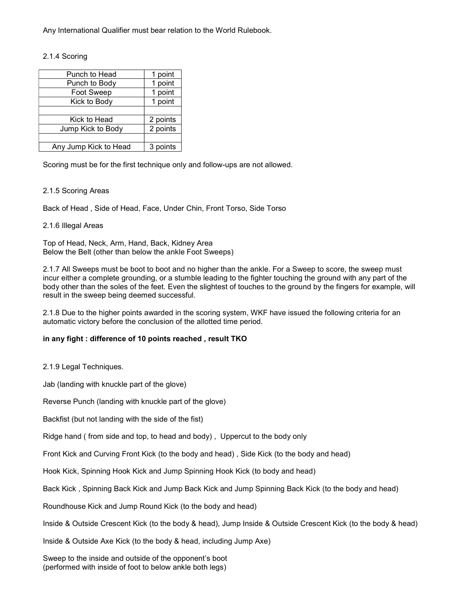Any International Qualifier must bear relation to the World Rulebook.

#### 2.1.4 Scoring

| Punch to Head         | 1 point  |
|-----------------------|----------|
| Punch to Body         | 1 point  |
| Foot Sweep            | 1 point  |
| Kick to Body          | 1 point  |
|                       |          |
| Kick to Head          | 2 points |
| Jump Kick to Body     | 2 points |
|                       |          |
| Any Jump Kick to Head | 3 points |

Scoring must be for the first technique only and follow-ups are not allowed.

#### 2.1.5 Scoring Areas

Back of Head , Side of Head, Face, Under Chin, Front Torso, Side Torso

#### 2.1.6 Illegal Areas

Top of Head, Neck, Arm, Hand, Back, Kidney Area Below the Belt (other than below the ankle Foot Sweeps)

2.1.7 All Sweeps must be boot to boot and no higher than the ankle. For a Sweep to score, the sweep must incur either a complete grounding, or a stumble leading to the fighter touching the ground with any part of the body other than the soles of the feet. Even the slightest of touches to the ground by the fingers for example, will result in the sweep being deemed successful.

2.1.8 Due to the higher points awarded in the scoring system, WKF have issued the following criteria for an automatic victory before the conclusion of the allotted time period.

#### in any fight : difference of 10 points reached , result TKO

2.1.9 Legal Techniques.

Jab (landing with knuckle part of the glove)

Reverse Punch (landing with knuckle part of the glove)

Backfist (but not landing with the side of the fist)

Ridge hand ( from side and top, to head and body) , Uppercut to the body only

Front Kick and Curving Front Kick (to the body and head) , Side Kick (to the body and head)

Hook Kick, Spinning Hook Kick and Jump Spinning Hook Kick (to body and head)

Back Kick , Spinning Back Kick and Jump Back Kick and Jump Spinning Back Kick (to the body and head)

Roundhouse Kick and Jump Round Kick (to the body and head)

Inside & Outside Crescent Kick (to the body & head), Jump Inside & Outside Crescent Kick (to the body & head)

Inside & Outside Axe Kick (to the body & head, including Jump Axe)

Sweep to the inside and outside of the opponent's boot (performed with inside of foot to below ankle both legs)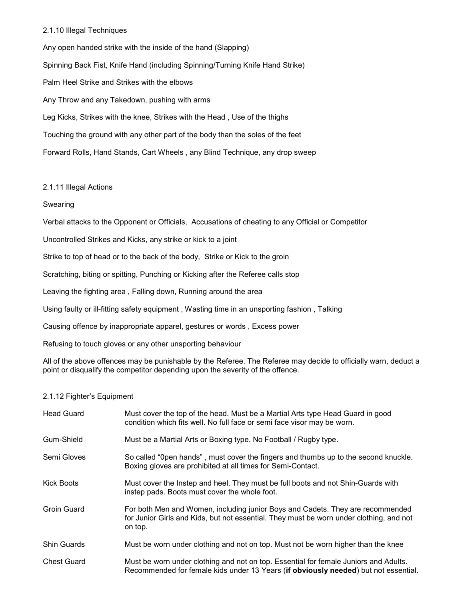#### 2.1.10 Illegal Techniques

Any open handed strike with the inside of the hand (Slapping) Spinning Back Fist, Knife Hand (including Spinning/Turning Knife Hand Strike) Palm Heel Strike and Strikes with the elbows Any Throw and any Takedown, pushing with arms Leg Kicks, Strikes with the knee, Strikes with the Head , Use of the thighs Touching the ground with any other part of the body than the soles of the feet Forward Rolls, Hand Stands, Cart Wheels , any Blind Technique, any drop sweep

#### 2.1.11 Illegal Actions

#### **Swearing**

Verbal attacks to the Opponent or Officials, Accusations of cheating to any Official or Competitor

Uncontrolled Strikes and Kicks, any strike or kick to a joint

Strike to top of head or to the back of the body, Strike or Kick to the groin

Scratching, biting or spitting, Punching or Kicking after the Referee calls stop

Leaving the fighting area , Falling down, Running around the area

Using faulty or ill-fitting safety equipment , Wasting time in an unsporting fashion , Talking

Causing offence by inappropriate apparel, gestures or words , Excess power

Refusing to touch gloves or any other unsporting behaviour

All of the above offences may be punishable by the Referee. The Referee may decide to officially warn, deduct a point or disqualify the competitor depending upon the severity of the offence.

#### 2.1.12 Fighter's Equipment

| <b>Head Guard</b>  | Must cover the top of the head. Must be a Martial Arts type Head Guard in good<br>condition which fits well. No full face or semi face visor may be worn.                            |
|--------------------|--------------------------------------------------------------------------------------------------------------------------------------------------------------------------------------|
| Gum-Shield         | Must be a Martial Arts or Boxing type. No Football / Rugby type.                                                                                                                     |
| Semi Gloves        | So called "Open hands", must cover the fingers and thumbs up to the second knuckle.<br>Boxing gloves are prohibited at all times for Semi-Contact.                                   |
| <b>Kick Boots</b>  | Must cover the Instep and heel. They must be full boots and not Shin-Guards with<br>instep pads. Boots must cover the whole foot.                                                    |
| Groin Guard        | For both Men and Women, including junior Boys and Cadets. They are recommended<br>for Junior Girls and Kids, but not essential. They must be worn under clothing, and not<br>on top. |
| <b>Shin Guards</b> | Must be worn under clothing and not on top. Must not be worn higher than the knee                                                                                                    |
| <b>Chest Guard</b> | Must be worn under clothing and not on top. Essential for female Juniors and Adults.<br>Recommended for female kids under 13 Years (if obviously needed) but not essential           |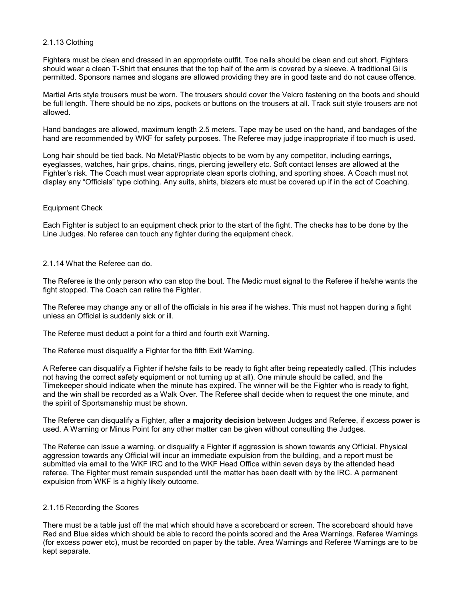#### 2.1.13 Clothing

Fighters must be clean and dressed in an appropriate outfit. Toe nails should be clean and cut short. Fighters should wear a clean T-Shirt that ensures that the top half of the arm is covered by a sleeve. A traditional Gi is permitted. Sponsors names and slogans are allowed providing they are in good taste and do not cause offence.

Martial Arts style trousers must be worn. The trousers should cover the Velcro fastening on the boots and should be full length. There should be no zips, pockets or buttons on the trousers at all. Track suit style trousers are not allowed.

Hand bandages are allowed, maximum length 2.5 meters. Tape may be used on the hand, and bandages of the hand are recommended by WKF for safety purposes. The Referee may judge inappropriate if too much is used.

Long hair should be tied back. No Metal/Plastic objects to be worn by any competitor, including earrings, eyeglasses, watches, hair grips, chains, rings, piercing jewellery etc. Soft contact lenses are allowed at the Fighter's risk. The Coach must wear appropriate clean sports clothing, and sporting shoes. A Coach must not display any "Officials" type clothing. Any suits, shirts, blazers etc must be covered up if in the act of Coaching.

#### Equipment Check

Each Fighter is subject to an equipment check prior to the start of the fight. The checks has to be done by the Line Judges. No referee can touch any fighter during the equipment check.

#### 2.1.14 What the Referee can do.

The Referee is the only person who can stop the bout. The Medic must signal to the Referee if he/she wants the fight stopped. The Coach can retire the Fighter.

The Referee may change any or all of the officials in his area if he wishes. This must not happen during a fight unless an Official is suddenly sick or ill.

The Referee must deduct a point for a third and fourth exit Warning.

The Referee must disqualify a Fighter for the fifth Exit Warning.

A Referee can disqualify a Fighter if he/she fails to be ready to fight after being repeatedly called. (This includes not having the correct safety equipment or not turning up at all). One minute should be called, and the Timekeeper should indicate when the minute has expired. The winner will be the Fighter who is ready to fight, and the win shall be recorded as a Walk Over. The Referee shall decide when to request the one minute, and the spirit of Sportsmanship must be shown.

The Referee can disqualify a Fighter, after a majority decision between Judges and Referee, if excess power is used. A Warning or Minus Point for any other matter can be given without consulting the Judges.

The Referee can issue a warning, or disqualify a Fighter if aggression is shown towards any Official. Physical aggression towards any Official will incur an immediate expulsion from the building, and a report must be submitted via email to the WKF IRC and to the WKF Head Office within seven days by the attended head referee. The Fighter must remain suspended until the matter has been dealt with by the IRC. A permanent expulsion from WKF is a highly likely outcome.

#### 2.1.15 Recording the Scores

There must be a table just off the mat which should have a scoreboard or screen. The scoreboard should have Red and Blue sides which should be able to record the points scored and the Area Warnings. Referee Warnings (for excess power etc), must be recorded on paper by the table. Area Warnings and Referee Warnings are to be kept separate.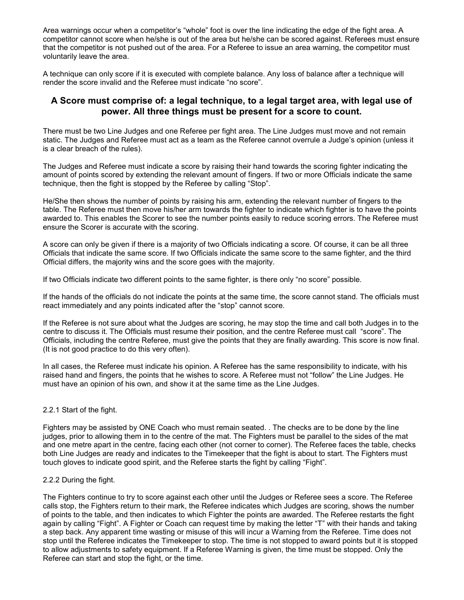Area warnings occur when a competitor's "whole" foot is over the line indicating the edge of the fight area. A competitor cannot score when he/she is out of the area but he/she can be scored against. Referees must ensure that the competitor is not pushed out of the area. For a Referee to issue an area warning, the competitor must voluntarily leave the area.

A technique can only score if it is executed with complete balance. Any loss of balance after a technique will render the score invalid and the Referee must indicate "no score".

### A Score must comprise of: a legal technique, to a legal target area, with legal use of power. All three things must be present for a score to count.

There must be two Line Judges and one Referee per fight area. The Line Judges must move and not remain static. The Judges and Referee must act as a team as the Referee cannot overrule a Judge's opinion (unless it is a clear breach of the rules).

The Judges and Referee must indicate a score by raising their hand towards the scoring fighter indicating the amount of points scored by extending the relevant amount of fingers. If two or more Officials indicate the same technique, then the fight is stopped by the Referee by calling "Stop".

He/She then shows the number of points by raising his arm, extending the relevant number of fingers to the table. The Referee must then move his/her arm towards the fighter to indicate which fighter is to have the points awarded to. This enables the Scorer to see the number points easily to reduce scoring errors. The Referee must ensure the Scorer is accurate with the scoring.

A score can only be given if there is a majority of two Officials indicating a score. Of course, it can be all three Officials that indicate the same score. If two Officials indicate the same score to the same fighter, and the third Official differs, the majority wins and the score goes with the majority.

If two Officials indicate two different points to the same fighter, is there only "no score" possible.

If the hands of the officials do not indicate the points at the same time, the score cannot stand. The officials must react immediately and any points indicated after the "stop" cannot score.

If the Referee is not sure about what the Judges are scoring, he may stop the time and call both Judges in to the centre to discuss it. The Officials must resume their position, and the centre Referee must call "score". The Officials, including the centre Referee, must give the points that they are finally awarding. This score is now final. (It is not good practice to do this very often).

In all cases, the Referee must indicate his opinion. A Referee has the same responsibility to indicate, with his raised hand and fingers, the points that he wishes to score. A Referee must not "follow" the Line Judges. He must have an opinion of his own, and show it at the same time as the Line Judges.

#### 2.2.1 Start of the fight.

Fighters may be assisted by ONE Coach who must remain seated. . The checks are to be done by the line judges, prior to allowing them in to the centre of the mat. The Fighters must be parallel to the sides of the mat and one metre apart in the centre, facing each other (not corner to corner). The Referee faces the table, checks both Line Judges are ready and indicates to the Timekeeper that the fight is about to start. The Fighters must touch gloves to indicate good spirit, and the Referee starts the fight by calling "Fight".

#### 2.2.2 During the fight.

The Fighters continue to try to score against each other until the Judges or Referee sees a score. The Referee calls stop, the Fighters return to their mark, the Referee indicates which Judges are scoring, shows the number of points to the table, and then indicates to which Fighter the points are awarded. The Referee restarts the fight again by calling "Fight". A Fighter or Coach can request time by making the letter "T" with their hands and taking a step back. Any apparent time wasting or misuse of this will incur a Warning from the Referee. Time does not stop until the Referee indicates the Timekeeper to stop. The time is not stopped to award points but it is stopped to allow adjustments to safety equipment. If a Referee Warning is given, the time must be stopped. Only the Referee can start and stop the fight, or the time.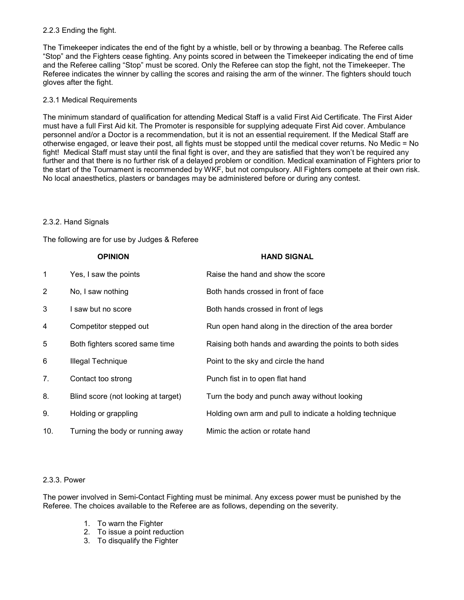#### 2.2.3 Ending the fight.

The Timekeeper indicates the end of the fight by a whistle, bell or by throwing a beanbag. The Referee calls "Stop" and the Fighters cease fighting. Any points scored in between the Timekeeper indicating the end of time and the Referee calling "Stop" must be scored. Only the Referee can stop the fight, not the Timekeeper. The Referee indicates the winner by calling the scores and raising the arm of the winner. The fighters should touch gloves after the fight.

#### 2.3.1 Medical Requirements

The minimum standard of qualification for attending Medical Staff is a valid First Aid Certificate. The First Aider must have a full First Aid kit. The Promoter is responsible for supplying adequate First Aid cover. Ambulance personnel and/or a Doctor is a recommendation, but it is not an essential requirement. If the Medical Staff are otherwise engaged, or leave their post, all fights must be stopped until the medical cover returns. No Medic = No fight! Medical Staff must stay until the final fight is over, and they are satisfied that they won't be required any further and that there is no further risk of a delayed problem or condition. Medical examination of Fighters prior to the start of the Tournament is recommended by WKF, but not compulsory. All Fighters compete at their own risk. No local anaesthetics, plasters or bandages may be administered before or during any contest.

#### 2.3.2. Hand Signals

The following are for use by Judges & Referee

|             | <b>OPINION</b>                      | <b>HAND SIGNAL</b>                                       |
|-------------|-------------------------------------|----------------------------------------------------------|
| $\mathbf 1$ | Yes, I saw the points               | Raise the hand and show the score                        |
| 2           | No, I saw nothing                   | Both hands crossed in front of face                      |
| 3           | I saw but no score                  | Both hands crossed in front of legs                      |
| 4           | Competitor stepped out              | Run open hand along in the direction of the area border  |
| 5           | Both fighters scored same time      | Raising both hands and awarding the points to both sides |
| 6           | Illegal Technique                   | Point to the sky and circle the hand                     |
| 7.          | Contact too strong                  | Punch fist in to open flat hand                          |
| 8.          | Blind score (not looking at target) | Turn the body and punch away without looking             |
| 9.          | Holding or grappling                | Holding own arm and pull to indicate a holding technique |
| 10.         | Turning the body or running away    | Mimic the action or rotate hand                          |

#### 2.3.3. Power

The power involved in Semi-Contact Fighting must be minimal. Any excess power must be punished by the Referee. The choices available to the Referee are as follows, depending on the severity.

- 1. To warn the Fighter
- 2. To issue a point reduction
- 3. To disqualify the Fighter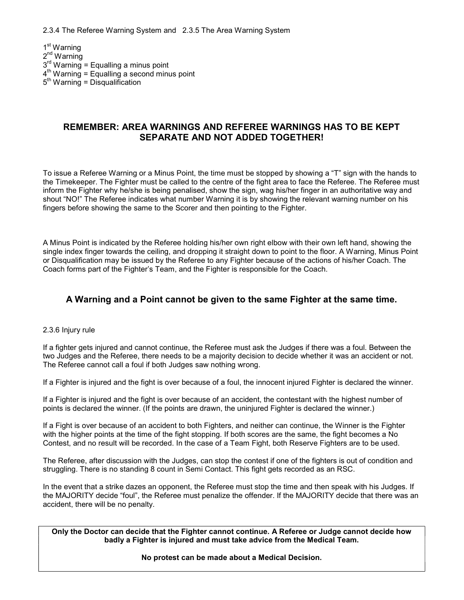2.3.4 The Referee Warning System and 2.3.5 The Area Warning System

1 st Warning 2<sup>nd</sup> Warning 3<sup>rd</sup> Warning = Equalling a minus point  $4<sup>th</sup>$  Warning = Equalling a second minus point  $5<sup>th</sup>$  Warning = Disqualification

### REMEMBER: AREA WARNINGS AND REFEREE WARNINGS HAS TO BE KEPT SEPARATE AND NOT ADDED TOGETHER!

To issue a Referee Warning or a Minus Point, the time must be stopped by showing a "T" sign with the hands to the Timekeeper. The Fighter must be called to the centre of the fight area to face the Referee. The Referee must inform the Fighter why he/she is being penalised, show the sign, wag his/her finger in an authoritative way and shout "NO!" The Referee indicates what number Warning it is by showing the relevant warning number on his fingers before showing the same to the Scorer and then pointing to the Fighter.

A Minus Point is indicated by the Referee holding his/her own right elbow with their own left hand, showing the single index finger towards the ceiling, and dropping it straight down to point to the floor. A Warning, Minus Point or Disqualification may be issued by the Referee to any Fighter because of the actions of his/her Coach. The Coach forms part of the Fighter's Team, and the Fighter is responsible for the Coach.

# A Warning and a Point cannot be given to the same Fighter at the same time.

#### 2.3.6 Injury rule

If a fighter gets injured and cannot continue, the Referee must ask the Judges if there was a foul. Between the two Judges and the Referee, there needs to be a majority decision to decide whether it was an accident or not. The Referee cannot call a foul if both Judges saw nothing wrong.

If a Fighter is injured and the fight is over because of a foul, the innocent injured Fighter is declared the winner.

If a Fighter is injured and the fight is over because of an accident, the contestant with the highest number of points is declared the winner. (If the points are drawn, the uninjured Fighter is declared the winner.)

If a Fight is over because of an accident to both Fighters, and neither can continue, the Winner is the Fighter with the higher points at the time of the fight stopping. If both scores are the same, the fight becomes a No Contest, and no result will be recorded. In the case of a Team Fight, both Reserve Fighters are to be used.

The Referee, after discussion with the Judges, can stop the contest if one of the fighters is out of condition and struggling. There is no standing 8 count in Semi Contact. This fight gets recorded as an RSC.

In the event that a strike dazes an opponent, the Referee must stop the time and then speak with his Judges. If the MAJORITY decide "foul", the Referee must penalize the offender. If the MAJORITY decide that there was an accident, there will be no penalty.

Only the Doctor can decide that the Fighter cannot continue. A Referee or Judge cannot decide how badly a Fighter is injured and must take advice from the Medical Team.

No protest can be made about a Medical Decision.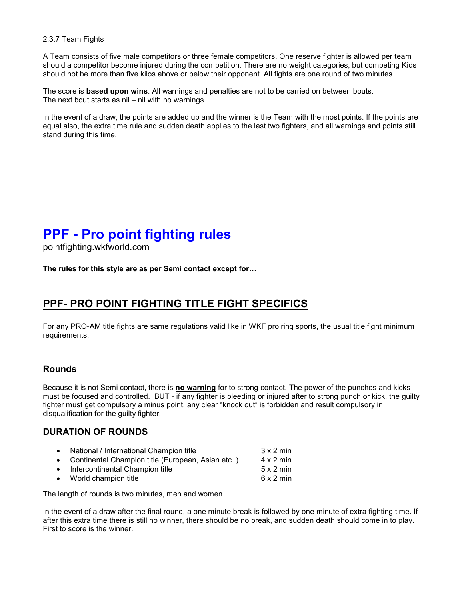#### 2.3.7 Team Fights

A Team consists of five male competitors or three female competitors. One reserve fighter is allowed per team should a competitor become injured during the competition. There are no weight categories, but competing Kids should not be more than five kilos above or below their opponent. All fights are one round of two minutes.

The score is **based upon wins**. All warnings and penalties are not to be carried on between bouts. The next bout starts as nil – nil with no warnings.

In the event of a draw, the points are added up and the winner is the Team with the most points. If the points are equal also, the extra time rule and sudden death applies to the last two fighters, and all warnings and points still stand during this time.

# PPF - Pro point fighting rules

pointfighting.wkfworld.com

The rules for this style are as per Semi contact except for…

# PPF- PRO POINT FIGHTING TITLE FIGHT SPECIFICS

For any PRO-AM title fights are same regulations valid like in WKF pro ring sports, the usual title fight minimum requirements.

# Rounds

Because it is not Semi contact, there is no warning for to strong contact. The power of the punches and kicks must be focused and controlled. BUT - if any fighter is bleeding or injured after to strong punch or kick, the guilty fighter must get compulsory a minus point, any clear "knock out" is forbidden and result compulsory in disqualification for the guilty fighter.

### DURATION OF ROUNDS

| $\bullet$ | National / International Champion title<br>• Continental Champion title (European, Asian etc.) | $3 \times 2$ min<br>$4 \times 2$ min |
|-----------|------------------------------------------------------------------------------------------------|--------------------------------------|
|           | • Intercontinental Champion title                                                              | $5 \times 2$ min                     |
|           | • World champion title                                                                         | $6 \times 2$ min                     |

The length of rounds is two minutes, men and women.

In the event of a draw after the final round, a one minute break is followed by one minute of extra fighting time. If after this extra time there is still no winner, there should be no break, and sudden death should come in to play. First to score is the winner.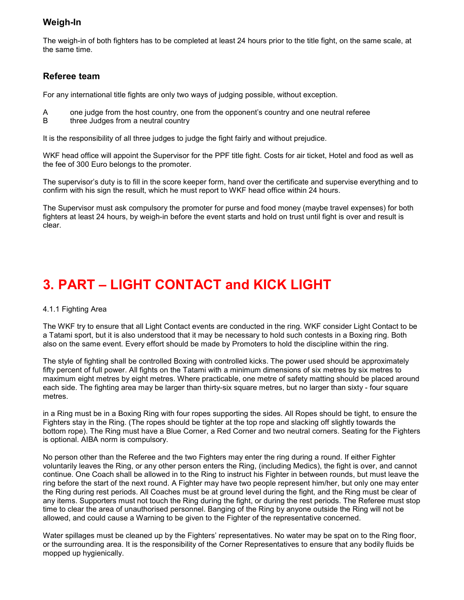# Weigh-In

The weigh-in of both fighters has to be completed at least 24 hours prior to the title fight, on the same scale, at the same time.

### Referee team

For any international title fights are only two ways of judging possible, without exception.

- A one judge from the host country, one from the opponent's country and one neutral referee<br>B three Judges from a neutral country
- three Judges from a neutral country

It is the responsibility of all three judges to judge the fight fairly and without prejudice.

WKF head office will appoint the Supervisor for the PPF title fight. Costs for air ticket, Hotel and food as well as the fee of 300 Euro belongs to the promoter.

The supervisor's duty is to fill in the score keeper form, hand over the certificate and supervise everything and to confirm with his sign the result, which he must report to WKF head office within 24 hours.

The Supervisor must ask compulsory the promoter for purse and food money (maybe travel expenses) for both fighters at least 24 hours, by weigh-in before the event starts and hold on trust until fight is over and result is clear.

# 3. PART – LIGHT CONTACT and KICK LIGHT

#### 4.1.1 Fighting Area

The WKF try to ensure that all Light Contact events are conducted in the ring. WKF consider Light Contact to be a Tatami sport, but it is also understood that it may be necessary to hold such contests in a Boxing ring. Both also on the same event. Every effort should be made by Promoters to hold the discipline within the ring.

The style of fighting shall be controlled Boxing with controlled kicks. The power used should be approximately fifty percent of full power. All fights on the Tatami with a minimum dimensions of six metres by six metres to maximum eight metres by eight metres. Where practicable, one metre of safety matting should be placed around each side. The fighting area may be larger than thirty-six square metres, but no larger than sixty - four square metres.

in a Ring must be in a Boxing Ring with four ropes supporting the sides. All Ropes should be tight, to ensure the Fighters stay in the Ring. (The ropes should be tighter at the top rope and slacking off slightly towards the bottom rope). The Ring must have a Blue Corner, a Red Corner and two neutral corners. Seating for the Fighters is optional. AIBA norm is compulsory.

No person other than the Referee and the two Fighters may enter the ring during a round. If either Fighter voluntarily leaves the Ring, or any other person enters the Ring, (including Medics), the fight is over, and cannot continue. One Coach shall be allowed in to the Ring to instruct his Fighter in between rounds, but must leave the ring before the start of the next round. A Fighter may have two people represent him/her, but only one may enter the Ring during rest periods. All Coaches must be at ground level during the fight, and the Ring must be clear of any items. Supporters must not touch the Ring during the fight, or during the rest periods. The Referee must stop time to clear the area of unauthorised personnel. Banging of the Ring by anyone outside the Ring will not be allowed, and could cause a Warning to be given to the Fighter of the representative concerned.

Water spillages must be cleaned up by the Fighters' representatives. No water may be spat on to the Ring floor, or the surrounding area. It is the responsibility of the Corner Representatives to ensure that any bodily fluids be mopped up hygienically.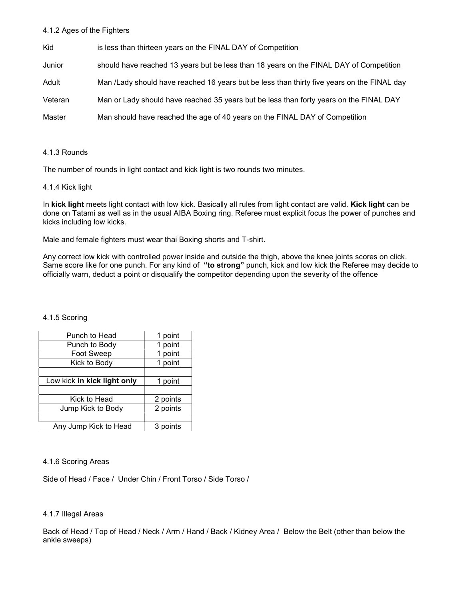#### 4.1.2 Ages of the Fighters

| Kid     | is less than thirteen years on the FINAL DAY of Competition                                |
|---------|--------------------------------------------------------------------------------------------|
| Junior  | should have reached 13 years but be less than 18 years on the FINAL DAY of Competition     |
| Adult   | Man /Lady should have reached 16 years but be less than thirty five years on the FINAL day |
| Veteran | Man or Lady should have reached 35 years but be less than forty years on the FINAL DAY     |
| Master  | Man should have reached the age of 40 years on the FINAL DAY of Competition                |

#### 4.1.3 Rounds

The number of rounds in light contact and kick light is two rounds two minutes.

#### 4.1.4 Kick light

In kick light meets light contact with low kick. Basically all rules from light contact are valid. Kick light can be done on Tatami as well as in the usual AIBA Boxing ring. Referee must explicit focus the power of punches and kicks including low kicks.

Male and female fighters must wear thai Boxing shorts and T-shirt.

Any correct low kick with controlled power inside and outside the thigh, above the knee joints scores on click. Same score like for one punch. For any kind of "to strong" punch, kick and low kick the Referee may decide to officially warn, deduct a point or disqualify the competitor depending upon the severity of the offence

#### 4.1.5 Scoring

| Punch to Head               | 1 point  |
|-----------------------------|----------|
| Punch to Body               | 1 point  |
| Foot Sweep                  | 1 point  |
| Kick to Body                | 1 point  |
|                             |          |
| Low kick in kick light only | 1 point  |
|                             |          |
| Kick to Head                | 2 points |
| Jump Kick to Body           | 2 points |
|                             |          |
| Any Jump Kick to Head       | 3 points |

#### 4.1.6 Scoring Areas

Side of Head / Face / Under Chin / Front Torso / Side Torso /

#### 4.1.7 Illegal Areas

Back of Head / Top of Head / Neck / Arm / Hand / Back / Kidney Area / Below the Belt (other than below the ankle sweeps)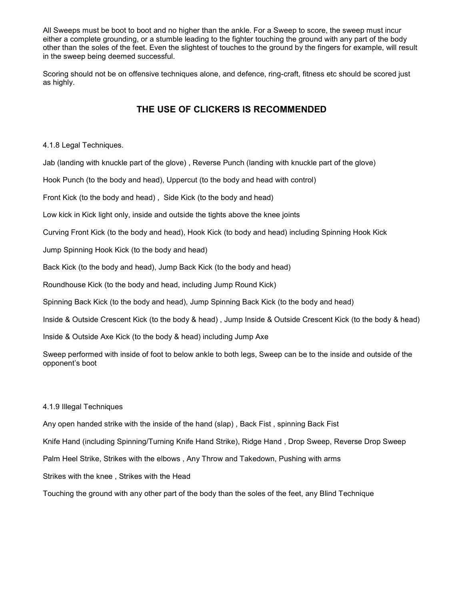All Sweeps must be boot to boot and no higher than the ankle. For a Sweep to score, the sweep must incur either a complete grounding, or a stumble leading to the fighter touching the ground with any part of the body other than the soles of the feet. Even the slightest of touches to the ground by the fingers for example, will result in the sweep being deemed successful.

Scoring should not be on offensive techniques alone, and defence, ring-craft, fitness etc should be scored just as highly.

### THE USE OF CLICKERS IS RECOMMENDED

4.1.8 Legal Techniques.

Jab (landing with knuckle part of the glove) , Reverse Punch (landing with knuckle part of the glove)

Hook Punch (to the body and head), Uppercut (to the body and head with control)

Front Kick (to the body and head) , Side Kick (to the body and head)

Low kick in Kick light only, inside and outside the tights above the knee joints

Curving Front Kick (to the body and head), Hook Kick (to body and head) including Spinning Hook Kick

Jump Spinning Hook Kick (to the body and head)

Back Kick (to the body and head), Jump Back Kick (to the body and head)

Roundhouse Kick (to the body and head, including Jump Round Kick)

Spinning Back Kick (to the body and head), Jump Spinning Back Kick (to the body and head)

Inside & Outside Crescent Kick (to the body & head) , Jump Inside & Outside Crescent Kick (to the body & head)

Inside & Outside Axe Kick (to the body & head) including Jump Axe

Sweep performed with inside of foot to below ankle to both legs, Sweep can be to the inside and outside of the opponent's boot

#### 4.1.9 Illegal Techniques

Any open handed strike with the inside of the hand (slap) , Back Fist , spinning Back Fist Knife Hand (including Spinning/Turning Knife Hand Strike), Ridge Hand , Drop Sweep, Reverse Drop Sweep Palm Heel Strike, Strikes with the elbows , Any Throw and Takedown, Pushing with arms Strikes with the knee , Strikes with the Head

Touching the ground with any other part of the body than the soles of the feet, any Blind Technique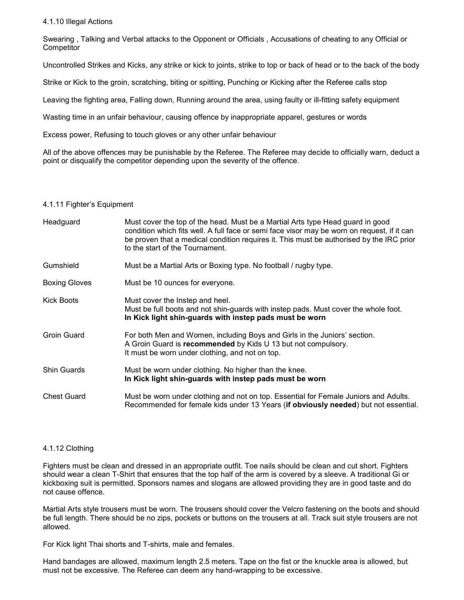#### 4.1.10 Illegal Actions

Swearing , Talking and Verbal attacks to the Opponent or Officials , Accusations of cheating to any Official or **Competitor** 

Uncontrolled Strikes and Kicks, any strike or kick to joints, strike to top or back of head or to the back of the body

Strike or Kick to the groin, scratching, biting or spitting, Punching or Kicking after the Referee calls stop

Leaving the fighting area, Falling down, Running around the area, using faulty or ill-fitting safety equipment

Wasting time in an unfair behaviour, causing offence by inappropriate apparel, gestures or words

Excess power, Refusing to touch gloves or any other unfair behaviour

All of the above offences may be punishable by the Referee. The Referee may decide to officially warn, deduct a point or disqualify the competitor depending upon the severity of the offence.

#### 4.1.11 Fighter's Equipment

| Headguard            | Must cover the top of the head. Must be a Martial Arts type Head guard in good<br>condition which fits well. A full face or semi face visor may be worn on request, if it can<br>be proven that a medical condition requires it. This must be authorised by the IRC prior<br>to the start of the Tournament. |
|----------------------|--------------------------------------------------------------------------------------------------------------------------------------------------------------------------------------------------------------------------------------------------------------------------------------------------------------|
| Gumshield            | Must be a Martial Arts or Boxing type. No football / rugby type.                                                                                                                                                                                                                                             |
| <b>Boxing Gloves</b> | Must be 10 ounces for everyone.                                                                                                                                                                                                                                                                              |
| Kick Boots           | Must cover the Instep and heel.<br>Must be full boots and not shin-guards with instep pads. Must cover the whole foot.<br>In Kick light shin-guards with instep pads must be worn                                                                                                                            |
| <b>Groin Guard</b>   | For both Men and Women, including Boys and Girls in the Juniors' section.<br>A Groin Guard is recommended by Kids U 13 but not compulsory.<br>It must be worn under clothing, and not on top.                                                                                                                |
| Shin Guards          | Must be worn under clothing. No higher than the knee.<br>In Kick light shin-guards with instep pads must be worn                                                                                                                                                                                             |
| <b>Chest Guard</b>   | Must be worn under clothing and not on top. Essential for Female Juniors and Adults.<br>Recommended for female kids under 13 Years (if obviously needed) but not essential.                                                                                                                                  |

#### 4.1.12 Clothing

Fighters must be clean and dressed in an appropriate outfit. Toe nails should be clean and cut short. Fighters should wear a clean T-Shirt that ensures that the top half of the arm is covered by a sleeve. A traditional Gi or kickboxing suit is permitted. Sponsors names and slogans are allowed providing they are in good taste and do not cause offence.

Martial Arts style trousers must be worn. The trousers should cover the Velcro fastening on the boots and should be full length. There should be no zips, pockets or buttons on the trousers at all. Track suit style trousers are not allowed.

For Kick light Thai shorts and T-shirts, male and females.

Hand bandages are allowed, maximum length 2.5 meters. Tape on the fist or the knuckle area is allowed, but must not be excessive. The Referee can deem any hand-wrapping to be excessive.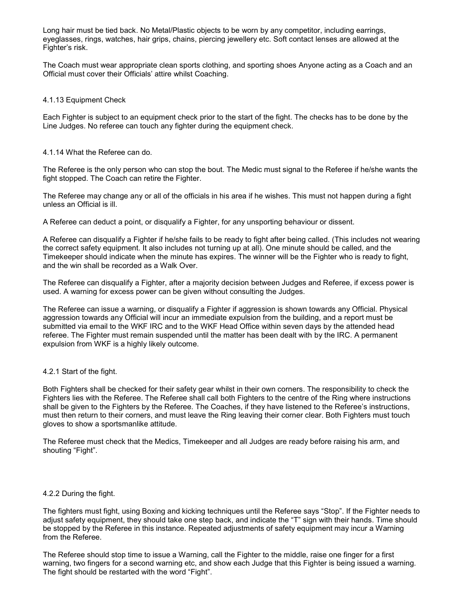Long hair must be tied back. No Metal/Plastic objects to be worn by any competitor, including earrings, eyeglasses, rings, watches, hair grips, chains, piercing jewellery etc. Soft contact lenses are allowed at the Fighter's risk.

The Coach must wear appropriate clean sports clothing, and sporting shoes Anyone acting as a Coach and an Official must cover their Officials' attire whilst Coaching.

#### 4.1.13 Equipment Check

Each Fighter is subject to an equipment check prior to the start of the fight. The checks has to be done by the Line Judges. No referee can touch any fighter during the equipment check.

#### 4.1.14 What the Referee can do.

The Referee is the only person who can stop the bout. The Medic must signal to the Referee if he/she wants the fight stopped. The Coach can retire the Fighter.

The Referee may change any or all of the officials in his area if he wishes. This must not happen during a fight unless an Official is ill.

A Referee can deduct a point, or disqualify a Fighter, for any unsporting behaviour or dissent.

A Referee can disqualify a Fighter if he/she fails to be ready to fight after being called. (This includes not wearing the correct safety equipment. It also includes not turning up at all). One minute should be called, and the Timekeeper should indicate when the minute has expires. The winner will be the Fighter who is ready to fight, and the win shall be recorded as a Walk Over.

The Referee can disqualify a Fighter, after a majority decision between Judges and Referee, if excess power is used. A warning for excess power can be given without consulting the Judges.

The Referee can issue a warning, or disqualify a Fighter if aggression is shown towards any Official. Physical aggression towards any Official will incur an immediate expulsion from the building, and a report must be submitted via email to the WKF IRC and to the WKF Head Office within seven days by the attended head referee. The Fighter must remain suspended until the matter has been dealt with by the IRC. A permanent expulsion from WKF is a highly likely outcome.

#### 4.2.1 Start of the fight.

Both Fighters shall be checked for their safety gear whilst in their own corners. The responsibility to check the Fighters lies with the Referee. The Referee shall call both Fighters to the centre of the Ring where instructions shall be given to the Fighters by the Referee. The Coaches, if they have listened to the Referee's instructions, must then return to their corners, and must leave the Ring leaving their corner clear. Both Fighters must touch gloves to show a sportsmanlike attitude.

The Referee must check that the Medics, Timekeeper and all Judges are ready before raising his arm, and shouting "Fight".

#### 4.2.2 During the fight.

The fighters must fight, using Boxing and kicking techniques until the Referee says "Stop". If the Fighter needs to adjust safety equipment, they should take one step back, and indicate the "T" sign with their hands. Time should be stopped by the Referee in this instance. Repeated adjustments of safety equipment may incur a Warning from the Referee.

The Referee should stop time to issue a Warning, call the Fighter to the middle, raise one finger for a first warning, two fingers for a second warning etc, and show each Judge that this Fighter is being issued a warning. The fight should be restarted with the word "Fight".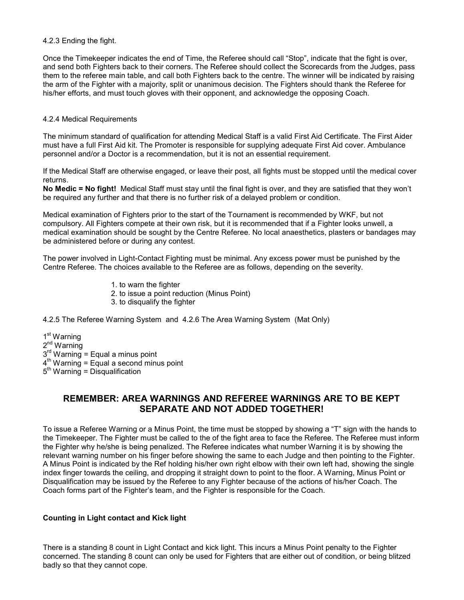#### 4.2.3 Ending the fight.

Once the Timekeeper indicates the end of Time, the Referee should call "Stop", indicate that the fight is over, and send both Fighters back to their corners. The Referee should collect the Scorecards from the Judges, pass them to the referee main table, and call both Fighters back to the centre. The winner will be indicated by raising the arm of the Fighter with a majority, split or unanimous decision. The Fighters should thank the Referee for his/her efforts, and must touch gloves with their opponent, and acknowledge the opposing Coach.

#### 4.2.4 Medical Requirements

The minimum standard of qualification for attending Medical Staff is a valid First Aid Certificate. The First Aider must have a full First Aid kit. The Promoter is responsible for supplying adequate First Aid cover. Ambulance personnel and/or a Doctor is a recommendation, but it is not an essential requirement.

If the Medical Staff are otherwise engaged, or leave their post, all fights must be stopped until the medical cover returns.

No Medic = No fight! Medical Staff must stay until the final fight is over, and they are satisfied that they won't be required any further and that there is no further risk of a delayed problem or condition.

Medical examination of Fighters prior to the start of the Tournament is recommended by WKF, but not compulsory. All Fighters compete at their own risk, but it is recommended that if a Fighter looks unwell, a medical examination should be sought by the Centre Referee. No local anaesthetics, plasters or bandages may be administered before or during any contest.

The power involved in Light-Contact Fighting must be minimal. Any excess power must be punished by the Centre Referee. The choices available to the Referee are as follows, depending on the severity.

> 1. to warn the fighter 2. to issue a point reduction (Minus Point) 3. to disqualify the fighter

4.2.5 The Referee Warning System and 4.2.6 The Area Warning System (Mat Only)

1 st Warning 2<sup>nd</sup> Warning  $3<sup>rd</sup>$  Warning = Equal a minus point  $4<sup>th</sup>$  Warning = Equal a second minus point  $5<sup>th</sup>$  Warning = Disqualification

### REMEMBER: AREA WARNINGS AND REFEREE WARNINGS ARE TO BE KEPT SEPARATE AND NOT ADDED TOGETHER!

To issue a Referee Warning or a Minus Point, the time must be stopped by showing a "T" sign with the hands to the Timekeeper. The Fighter must be called to the of the fight area to face the Referee. The Referee must inform the Fighter why he/she is being penalized. The Referee indicates what number Warning it is by showing the relevant warning number on his finger before showing the same to each Judge and then pointing to the Fighter. A Minus Point is indicated by the Ref holding his/her own right elbow with their own left had, showing the single index finger towards the ceiling, and dropping it straight down to point to the floor. A Warning, Minus Point or Disqualification may be issued by the Referee to any Fighter because of the actions of his/her Coach. The Coach forms part of the Fighter's team, and the Fighter is responsible for the Coach.

#### Counting in Light contact and Kick light

There is a standing 8 count in Light Contact and kick light. This incurs a Minus Point penalty to the Fighter concerned. The standing 8 count can only be used for Fighters that are either out of condition, or being blitzed badly so that they cannot cope.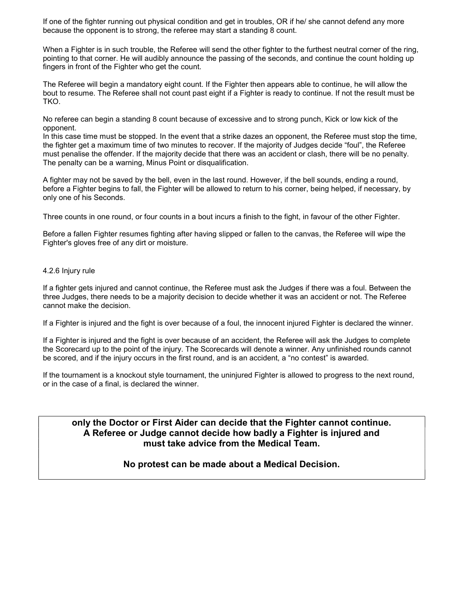If one of the fighter running out physical condition and get in troubles, OR if he/ she cannot defend any more because the opponent is to strong, the referee may start a standing 8 count.

When a Fighter is in such trouble, the Referee will send the other fighter to the furthest neutral corner of the ring, pointing to that corner. He will audibly announce the passing of the seconds, and continue the count holding up fingers in front of the Fighter who get the count.

The Referee will begin a mandatory eight count. If the Fighter then appears able to continue, he will allow the bout to resume. The Referee shall not count past eight if a Fighter is ready to continue. If not the result must be TKO.

No referee can begin a standing 8 count because of excessive and to strong punch, Kick or low kick of the opponent.

In this case time must be stopped. In the event that a strike dazes an opponent, the Referee must stop the time, the fighter get a maximum time of two minutes to recover. If the majority of Judges decide "foul", the Referee must penalise the offender. If the majority decide that there was an accident or clash, there will be no penalty. The penalty can be a warning, Minus Point or disqualification.

A fighter may not be saved by the bell, even in the last round. However, if the bell sounds, ending a round, before a Fighter begins to fall, the Fighter will be allowed to return to his corner, being helped, if necessary, by only one of his Seconds.

Three counts in one round, or four counts in a bout incurs a finish to the fight, in favour of the other Fighter.

Before a fallen Fighter resumes fighting after having slipped or fallen to the canvas, the Referee will wipe the Fighter's gloves free of any dirt or moisture.

#### 4.2.6 Injury rule

If a fighter gets injured and cannot continue, the Referee must ask the Judges if there was a foul. Between the three Judges, there needs to be a majority decision to decide whether it was an accident or not. The Referee cannot make the decision.

If a Fighter is injured and the fight is over because of a foul, the innocent injured Fighter is declared the winner.

If a Fighter is injured and the fight is over because of an accident, the Referee will ask the Judges to complete the Scorecard up to the point of the injury. The Scorecards will denote a winner. Any unfinished rounds cannot be scored, and if the injury occurs in the first round, and is an accident, a "no contest" is awarded.

If the tournament is a knockout style tournament, the uninjured Fighter is allowed to progress to the next round, or in the case of a final, is declared the winner.

only the Doctor or First Aider can decide that the Fighter cannot continue. A Referee or Judge cannot decide how badly a Fighter is injured and must take advice from the Medical Team.

#### No protest can be made about a Medical Decision.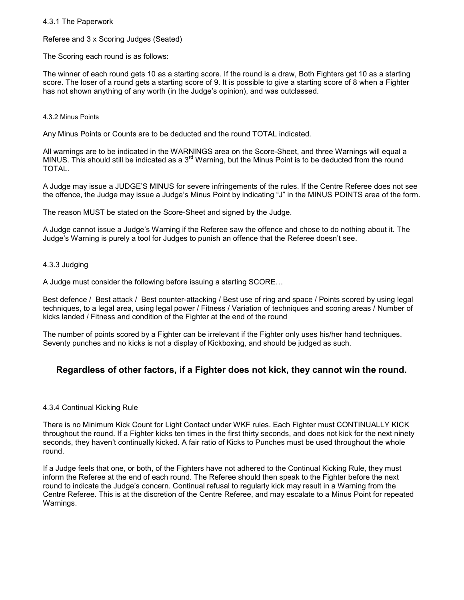#### 4.3.1 The Paperwork

Referee and 3 x Scoring Judges (Seated)

The Scoring each round is as follows:

The winner of each round gets 10 as a starting score. If the round is a draw, Both Fighters get 10 as a starting score. The loser of a round gets a starting score of 9. It is possible to give a starting score of 8 when a Fighter has not shown anything of any worth (in the Judge's opinion), and was outclassed.

#### 4.3.2 Minus Points

Any Minus Points or Counts are to be deducted and the round TOTAL indicated.

All warnings are to be indicated in the WARNINGS area on the Score-Sheet, and three Warnings will equal a MINUS. This should still be indicated as a  $3<sup>rd</sup>$  Warning, but the Minus Point is to be deducted from the round TOTAL.

A Judge may issue a JUDGE'S MINUS for severe infringements of the rules. If the Centre Referee does not see the offence, the Judge may issue a Judge's Minus Point by indicating "J" in the MINUS POINTS area of the form.

The reason MUST be stated on the Score-Sheet and signed by the Judge.

A Judge cannot issue a Judge's Warning if the Referee saw the offence and chose to do nothing about it. The Judge's Warning is purely a tool for Judges to punish an offence that the Referee doesn't see.

#### 4.3.3 Judging

A Judge must consider the following before issuing a starting SCORE…

Best defence / Best attack / Best counter-attacking / Best use of ring and space / Points scored by using legal techniques, to a legal area, using legal power / Fitness / Variation of techniques and scoring areas / Number of kicks landed / Fitness and condition of the Fighter at the end of the round

The number of points scored by a Fighter can be irrelevant if the Fighter only uses his/her hand techniques. Seventy punches and no kicks is not a display of Kickboxing, and should be judged as such.

# Regardless of other factors, if a Fighter does not kick, they cannot win the round.

#### 4.3.4 Continual Kicking Rule

There is no Minimum Kick Count for Light Contact under WKF rules. Each Fighter must CONTINUALLY KICK throughout the round. If a Fighter kicks ten times in the first thirty seconds, and does not kick for the next ninety seconds, they haven't continually kicked. A fair ratio of Kicks to Punches must be used throughout the whole round.

If a Judge feels that one, or both, of the Fighters have not adhered to the Continual Kicking Rule, they must inform the Referee at the end of each round. The Referee should then speak to the Fighter before the next round to indicate the Judge's concern. Continual refusal to regularly kick may result in a Warning from the Centre Referee. This is at the discretion of the Centre Referee, and may escalate to a Minus Point for repeated Warnings.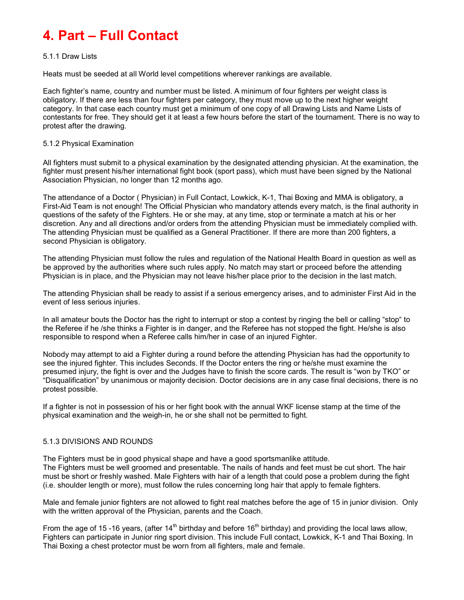# 4. Part – Full Contact

#### 5.1.1 Draw Lists

Heats must be seeded at all World level competitions wherever rankings are available.

Each fighter's name, country and number must be listed. A minimum of four fighters per weight class is obligatory. If there are less than four fighters per category, they must move up to the next higher weight category. In that case each country must get a minimum of one copy of all Drawing Lists and Name Lists of contestants for free. They should get it at least a few hours before the start of the tournament. There is no way to protest after the drawing.

#### 5.1.2 Physical Examination

All fighters must submit to a physical examination by the designated attending physician. At the examination, the fighter must present his/her international fight book (sport pass), which must have been signed by the National Association Physician, no longer than 12 months ago.

The attendance of a Doctor ( Physician) in Full Contact, Lowkick, K-1, Thai Boxing and MMA is obligatory, a First-Aid Team is not enough! The Official Physician who mandatory attends every match, is the final authority in questions of the safety of the Fighters. He or she may, at any time, stop or terminate a match at his or her discretion. Any and all directions and/or orders from the attending Physician must be immediately complied with. The attending Physician must be qualified as a General Practitioner. If there are more than 200 fighters, a second Physician is obligatory.

The attending Physician must follow the rules and regulation of the National Health Board in question as well as be approved by the authorities where such rules apply. No match may start or proceed before the attending Physician is in place, and the Physician may not leave his/her place prior to the decision in the last match.

The attending Physician shall be ready to assist if a serious emergency arises, and to administer First Aid in the event of less serious injuries.

In all amateur bouts the Doctor has the right to interrupt or stop a contest by ringing the bell or calling "stop" to the Referee if he /she thinks a Fighter is in danger, and the Referee has not stopped the fight. He/she is also responsible to respond when a Referee calls him/her in case of an injured Fighter.

Nobody may attempt to aid a Fighter during a round before the attending Physician has had the opportunity to see the injured fighter. This includes Seconds. If the Doctor enters the ring or he/she must examine the presumed injury, the fight is over and the Judges have to finish the score cards. The result is "won by TKO" or "Disqualification" by unanimous or majority decision. Doctor decisions are in any case final decisions, there is no protest possible.

If a fighter is not in possession of his or her fight book with the annual WKF license stamp at the time of the physical examination and the weigh-in, he or she shall not be permitted to fight.

#### 5.1.3 DIVISIONS AND ROUNDS

The Fighters must be in good physical shape and have a good sportsmanlike attitude. The Fighters must be well groomed and presentable. The nails of hands and feet must be cut short. The hair must be short or freshly washed. Male Fighters with hair of a length that could pose a problem during the fight (i.e. shoulder length or more), must follow the rules concerning long hair that apply to female fighters.

Male and female junior fighters are not allowed to fight real matches before the age of 15 in junior division. Only with the written approval of the Physician, parents and the Coach.

From the age of 15 -16 years, (after 14<sup>th</sup> birthday and before 16<sup>th</sup> birthday) and providing the local laws allow, Fighters can participate in Junior ring sport division. This include Full contact, Lowkick, K-1 and Thai Boxing. In Thai Boxing a chest protector must be worn from all fighters, male and female.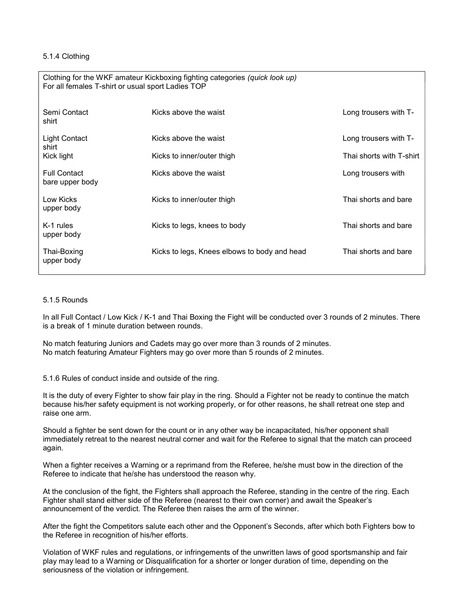#### 5.1.4 Clothing

| Clothing for the WKF amateur Kickboxing fighting categories (quick look up)<br>For all females T-shirt or usual sport Ladies TOP |                                              |                          |  |  |  |  |
|----------------------------------------------------------------------------------------------------------------------------------|----------------------------------------------|--------------------------|--|--|--|--|
| Semi Contact<br>shirt                                                                                                            | Kicks above the waist                        | Long trousers with T-    |  |  |  |  |
| <b>Light Contact</b><br>shirt                                                                                                    | Kicks above the waist                        | Long trousers with T-    |  |  |  |  |
| Kick light                                                                                                                       | Kicks to inner/outer thigh                   | Thai shorts with T-shirt |  |  |  |  |
| <b>Full Contact</b><br>bare upper body                                                                                           | Kicks above the waist                        | Long trousers with       |  |  |  |  |
| Low Kicks<br>upper body                                                                                                          | Kicks to inner/outer thigh                   | Thai shorts and bare     |  |  |  |  |
| K-1 rules<br>upper body                                                                                                          | Kicks to legs, knees to body                 | Thai shorts and bare     |  |  |  |  |
| Thai-Boxing<br>upper body                                                                                                        | Kicks to legs, Knees elbows to body and head | Thai shorts and bare     |  |  |  |  |

#### 5.1.5 Rounds

In all Full Contact / Low Kick / K-1 and Thai Boxing the Fight will be conducted over 3 rounds of 2 minutes. There is a break of 1 minute duration between rounds.

No match featuring Juniors and Cadets may go over more than 3 rounds of 2 minutes. No match featuring Amateur Fighters may go over more than 5 rounds of 2 minutes.

5.1.6 Rules of conduct inside and outside of the ring.

It is the duty of every Fighter to show fair play in the ring. Should a Fighter not be ready to continue the match because his/her safety equipment is not working properly, or for other reasons, he shall retreat one step and raise one arm.

Should a fighter be sent down for the count or in any other way be incapacitated, his/her opponent shall immediately retreat to the nearest neutral corner and wait for the Referee to signal that the match can proceed again.

When a fighter receives a Warning or a reprimand from the Referee, he/she must bow in the direction of the Referee to indicate that he/she has understood the reason why.

At the conclusion of the fight, the Fighters shall approach the Referee, standing in the centre of the ring. Each Fighter shall stand either side of the Referee (nearest to their own corner) and await the Speaker's announcement of the verdict. The Referee then raises the arm of the winner.

After the fight the Competitors salute each other and the Opponent's Seconds, after which both Fighters bow to the Referee in recognition of his/her efforts.

Violation of WKF rules and regulations, or infringements of the unwritten laws of good sportsmanship and fair play may lead to a Warning or Disqualification for a shorter or longer duration of time, depending on the seriousness of the violation or infringement.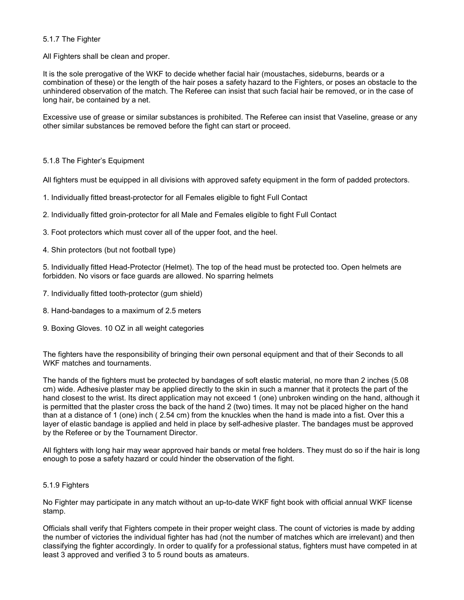#### 5.1.7 The Fighter

All Fighters shall be clean and proper.

It is the sole prerogative of the WKF to decide whether facial hair (moustaches, sideburns, beards or a combination of these) or the length of the hair poses a safety hazard to the Fighters, or poses an obstacle to the unhindered observation of the match. The Referee can insist that such facial hair be removed, or in the case of long hair, be contained by a net.

Excessive use of grease or similar substances is prohibited. The Referee can insist that Vaseline, grease or any other similar substances be removed before the fight can start or proceed.

#### 5.1.8 The Fighter's Equipment

All fighters must be equipped in all divisions with approved safety equipment in the form of padded protectors.

- 1. Individually fitted breast-protector for all Females eligible to fight Full Contact
- 2. Individually fitted groin-protector for all Male and Females eligible to fight Full Contact
- 3. Foot protectors which must cover all of the upper foot, and the heel.
- 4. Shin protectors (but not football type)

5. Individually fitted Head-Protector (Helmet). The top of the head must be protected too. Open helmets are forbidden. No visors or face guards are allowed. No sparring helmets

- 7. Individually fitted tooth-protector (gum shield)
- 8. Hand-bandages to a maximum of 2.5 meters
- 9. Boxing Gloves. 10 OZ in all weight categories

The fighters have the responsibility of bringing their own personal equipment and that of their Seconds to all WKF matches and tournaments.

The hands of the fighters must be protected by bandages of soft elastic material, no more than 2 inches (5.08 cm) wide. Adhesive plaster may be applied directly to the skin in such a manner that it protects the part of the hand closest to the wrist. Its direct application may not exceed 1 (one) unbroken winding on the hand, although it is permitted that the plaster cross the back of the hand 2 (two) times. It may not be placed higher on the hand than at a distance of 1 (one) inch ( 2.54 cm) from the knuckles when the hand is made into a fist. Over this a layer of elastic bandage is applied and held in place by self-adhesive plaster. The bandages must be approved by the Referee or by the Tournament Director.

All fighters with long hair may wear approved hair bands or metal free holders. They must do so if the hair is long enough to pose a safety hazard or could hinder the observation of the fight.

#### 5.1.9 Fighters

No Fighter may participate in any match without an up-to-date WKF fight book with official annual WKF license stamp.

Officials shall verify that Fighters compete in their proper weight class. The count of victories is made by adding the number of victories the individual fighter has had (not the number of matches which are irrelevant) and then classifying the fighter accordingly. In order to qualify for a professional status, fighters must have competed in at least 3 approved and verified 3 to 5 round bouts as amateurs.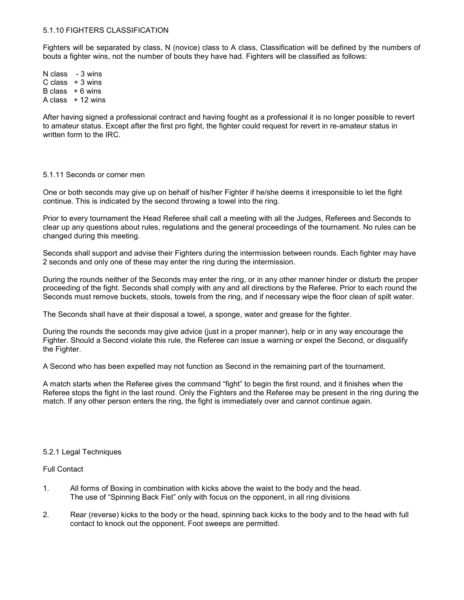#### 5.1.10 FIGHTERS CLASSIFICATION

Fighters will be separated by class, N (novice) class to A class, Classification will be defined by the numbers of bouts a fighter wins, not the number of bouts they have had. Fighters will be classified as follows:

N class - 3 wins  $C \text{ class } + 3 \text{ wins}$ B class  $+6$  wins A class  $+12$  wins

After having signed a professional contract and having fought as a professional it is no longer possible to revert to amateur status. Except after the first pro fight, the fighter could request for revert in re-amateur status in written form to the IRC.

#### 5.1.11 Seconds or corner men

One or both seconds may give up on behalf of his/her Fighter if he/she deems it irresponsible to let the fight continue. This is indicated by the second throwing a towel into the ring.

Prior to every tournament the Head Referee shall call a meeting with all the Judges, Referees and Seconds to clear up any questions about rules, regulations and the general proceedings of the tournament. No rules can be changed during this meeting.

Seconds shall support and advise their Fighters during the intermission between rounds. Each fighter may have 2 seconds and only one of these may enter the ring during the intermission.

During the rounds neither of the Seconds may enter the ring, or in any other manner hinder or disturb the proper proceeding of the fight. Seconds shall comply with any and all directions by the Referee. Prior to each round the Seconds must remove buckets, stools, towels from the ring, and if necessary wipe the floor clean of spilt water.

The Seconds shall have at their disposal a towel, a sponge, water and grease for the fighter.

During the rounds the seconds may give advice (just in a proper manner), help or in any way encourage the Fighter. Should a Second violate this rule, the Referee can issue a warning or expel the Second, or disqualify the Fighter.

A Second who has been expelled may not function as Second in the remaining part of the tournament.

A match starts when the Referee gives the command "fight" to begin the first round, and it finishes when the Referee stops the fight in the last round. Only the Fighters and the Referee may be present in the ring during the match. If any other person enters the ring, the fight is immediately over and cannot continue again.

#### 5.2.1 Legal Techniques

#### Full Contact

- 1. All forms of Boxing in combination with kicks above the waist to the body and the head. The use of "Spinning Back Fist" only with focus on the opponent, in all ring divisions
- 2. Rear (reverse) kicks to the body or the head, spinning back kicks to the body and to the head with full contact to knock out the opponent. Foot sweeps are permitted.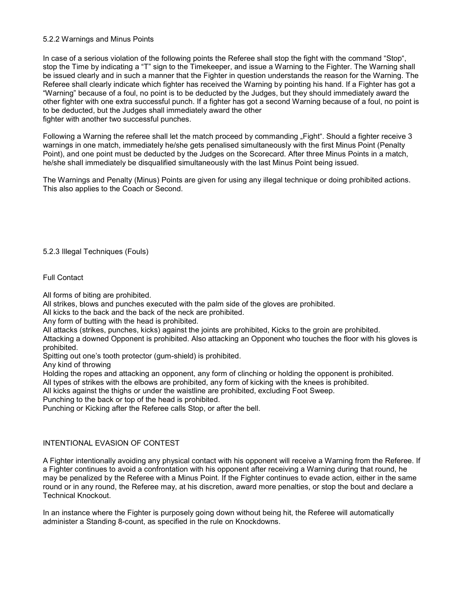#### 5.2.2 Warnings and Minus Points

In case of a serious violation of the following points the Referee shall stop the fight with the command "Stop", stop the Time by indicating a "T" sign to the Timekeeper, and issue a Warning to the Fighter. The Warning shall be issued clearly and in such a manner that the Fighter in question understands the reason for the Warning. The Referee shall clearly indicate which fighter has received the Warning by pointing his hand. If a Fighter has got a "Warning" because of a foul, no point is to be deducted by the Judges, but they should immediately award the other fighter with one extra successful punch. If a fighter has got a second Warning because of a foul, no point is to be deducted, but the Judges shall immediately award the other fighter with another two successful punches.

Following a Warning the referee shall let the match proceed by commanding "Fight". Should a fighter receive 3 warnings in one match, immediately he/she gets penalised simultaneously with the first Minus Point (Penalty Point), and one point must be deducted by the Judges on the Scorecard. After three Minus Points in a match, he/she shall immediately be disqualified simultaneously with the last Minus Point being issued.

The Warnings and Penalty (Minus) Points are given for using any illegal technique or doing prohibited actions. This also applies to the Coach or Second.

5.2.3 Illegal Techniques (Fouls)

Full Contact

All forms of biting are prohibited.

All strikes, blows and punches executed with the palm side of the gloves are prohibited.

All kicks to the back and the back of the neck are prohibited.

Any form of butting with the head is prohibited.

All attacks (strikes, punches, kicks) against the joints are prohibited, Kicks to the groin are prohibited.

Attacking a downed Opponent is prohibited. Also attacking an Opponent who touches the floor with his gloves is prohibited.

Spitting out one's tooth protector (gum-shield) is prohibited.

Any kind of throwing

Holding the ropes and attacking an opponent, any form of clinching or holding the opponent is prohibited.

All types of strikes with the elbows are prohibited, any form of kicking with the knees is prohibited.

All kicks against the thighs or under the waistline are prohibited, excluding Foot Sweep.

Punching to the back or top of the head is prohibited.

Punching or Kicking after the Referee calls Stop, or after the bell.

#### INTENTIONAL EVASION OF CONTEST

A Fighter intentionally avoiding any physical contact with his opponent will receive a Warning from the Referee. If a Fighter continues to avoid a confrontation with his opponent after receiving a Warning during that round, he may be penalized by the Referee with a Minus Point. If the Fighter continues to evade action, either in the same round or in any round, the Referee may, at his discretion, award more penalties, or stop the bout and declare a Technical Knockout.

In an instance where the Fighter is purposely going down without being hit, the Referee will automatically administer a Standing 8-count, as specified in the rule on Knockdowns.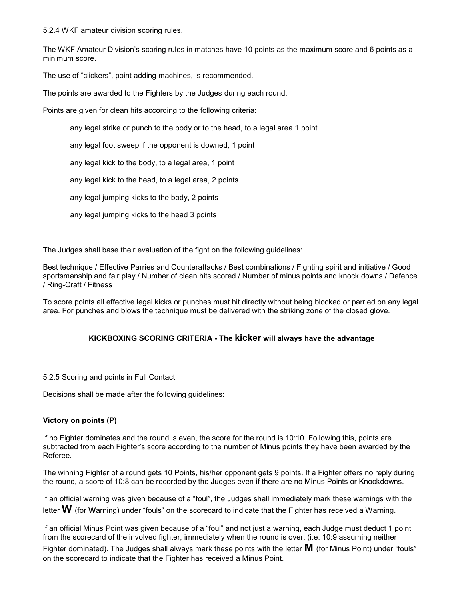5.2.4 WKF amateur division scoring rules.

The WKF Amateur Division's scoring rules in matches have 10 points as the maximum score and 6 points as a minimum score.

The use of "clickers", point adding machines, is recommended.

The points are awarded to the Fighters by the Judges during each round.

Points are given for clean hits according to the following criteria:

#### any legal strike or punch to the body or to the head, to a legal area 1 point

any legal foot sweep if the opponent is downed, 1 point

any legal kick to the body, to a legal area, 1 point

any legal kick to the head, to a legal area, 2 points

any legal jumping kicks to the body, 2 points

any legal jumping kicks to the head 3 points

The Judges shall base their evaluation of the fight on the following guidelines:

Best technique / Effective Parries and Counterattacks / Best combinations / Fighting spirit and initiative / Good sportsmanship and fair play / Number of clean hits scored / Number of minus points and knock downs / Defence / Ring-Craft / Fitness

To score points all effective legal kicks or punches must hit directly without being blocked or parried on any legal area. For punches and blows the technique must be delivered with the striking zone of the closed glove.

#### KICKBOXING SCORING CRITERIA - The kicker will always have the advantage

5.2.5 Scoring and points in Full Contact

Decisions shall be made after the following guidelines:

#### Victory on points (P)

If no Fighter dominates and the round is even, the score for the round is 10:10. Following this, points are subtracted from each Fighter's score according to the number of Minus points they have been awarded by the Referee.

The winning Fighter of a round gets 10 Points, his/her opponent gets 9 points. If a Fighter offers no reply during the round, a score of 10:8 can be recorded by the Judges even if there are no Minus Points or Knockdowns.

If an official warning was given because of a "foul", the Judges shall immediately mark these warnings with the letter  $W$  (for Warning) under "fouls" on the scorecard to indicate that the Fighter has received a Warning.

If an official Minus Point was given because of a "foul" and not just a warning, each Judge must deduct 1 point from the scorecard of the involved fighter, immediately when the round is over. (i.e. 10:9 assuming neither

Fighter dominated). The Judges shall always mark these points with the letter  $\bf{M}$  (for Minus Point) under "fouls" on the scorecard to indicate that the Fighter has received a Minus Point.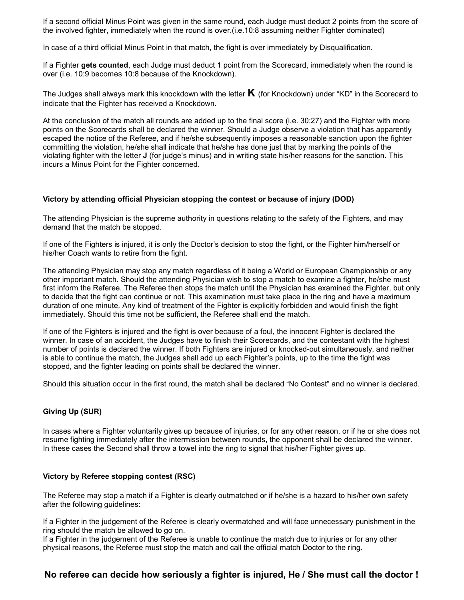If a second official Minus Point was given in the same round, each Judge must deduct 2 points from the score of the involved fighter, immediately when the round is over.(i.e.10:8 assuming neither Fighter dominated)

In case of a third official Minus Point in that match, the fight is over immediately by Disqualification.

If a Fighter gets counted, each Judge must deduct 1 point from the Scorecard, immediately when the round is over (i.e. 10:9 becomes 10:8 because of the Knockdown).

The Judges shall always mark this knockdown with the letter  $\bf{K}$  (for Knockdown) under "KD" in the Scorecard to indicate that the Fighter has received a Knockdown.

At the conclusion of the match all rounds are added up to the final score (i.e. 30:27) and the Fighter with more points on the Scorecards shall be declared the winner. Should a Judge observe a violation that has apparently escaped the notice of the Referee, and if he/she subsequently imposes a reasonable sanction upon the fighter committing the violation, he/she shall indicate that he/she has done just that by marking the points of the violating fighter with the letter J (for judge's minus) and in writing state his/her reasons for the sanction. This incurs a Minus Point for the Fighter concerned.

#### Victory by attending official Physician stopping the contest or because of injury (DOD)

The attending Physician is the supreme authority in questions relating to the safety of the Fighters, and may demand that the match be stopped.

If one of the Fighters is injured, it is only the Doctor's decision to stop the fight, or the Fighter him/herself or his/her Coach wants to retire from the fight.

The attending Physician may stop any match regardless of it being a World or European Championship or any other important match. Should the attending Physician wish to stop a match to examine a fighter, he/she must first inform the Referee. The Referee then stops the match until the Physician has examined the Fighter, but only to decide that the fight can continue or not. This examination must take place in the ring and have a maximum duration of one minute. Any kind of treatment of the Fighter is explicitly forbidden and would finish the fight immediately. Should this time not be sufficient, the Referee shall end the match.

If one of the Fighters is injured and the fight is over because of a foul, the innocent Fighter is declared the winner. In case of an accident, the Judges have to finish their Scorecards, and the contestant with the highest number of points is declared the winner. If both Fighters are injured or knocked-out simultaneously, and neither is able to continue the match, the Judges shall add up each Fighter's points, up to the time the fight was stopped, and the fighter leading on points shall be declared the winner.

Should this situation occur in the first round, the match shall be declared "No Contest" and no winner is declared.

#### Giving Up (SUR)

In cases where a Fighter voluntarily gives up because of injuries, or for any other reason, or if he or she does not resume fighting immediately after the intermission between rounds, the opponent shall be declared the winner. In these cases the Second shall throw a towel into the ring to signal that his/her Fighter gives up.

#### Victory by Referee stopping contest (RSC)

The Referee may stop a match if a Fighter is clearly outmatched or if he/she is a hazard to his/her own safety after the following guidelines:

If a Fighter in the judgement of the Referee is clearly overmatched and will face unnecessary punishment in the ring should the match be allowed to go on.

If a Fighter in the judgement of the Referee is unable to continue the match due to injuries or for any other physical reasons, the Referee must stop the match and call the official match Doctor to the ring.

### No referee can decide how seriously a fighter is injured, He / She must call the doctor !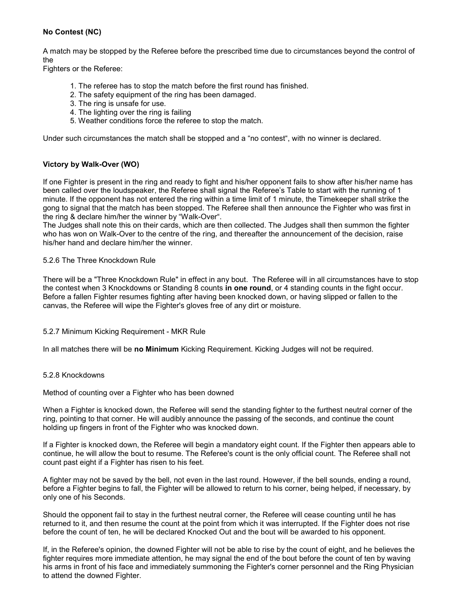#### No Contest (NC)

A match may be stopped by the Referee before the prescribed time due to circumstances beyond the control of the

Fighters or the Referee:

- 1. The referee has to stop the match before the first round has finished.
- 2. The safety equipment of the ring has been damaged.
- 3. The ring is unsafe for use.
- 4. The lighting over the ring is failing
- 5. Weather conditions force the referee to stop the match.

Under such circumstances the match shall be stopped and a "no contest", with no winner is declared.

#### Victory by Walk-Over (WO)

If one Fighter is present in the ring and ready to fight and his/her opponent fails to show after his/her name has been called over the loudspeaker, the Referee shall signal the Referee's Table to start with the running of 1 minute. If the opponent has not entered the ring within a time limit of 1 minute, the Timekeeper shall strike the gong to signal that the match has been stopped. The Referee shall then announce the Fighter who was first in the ring & declare him/her the winner by "Walk-Over".

The Judges shall note this on their cards, which are then collected. The Judges shall then summon the fighter who has won on Walk-Over to the centre of the ring, and thereafter the announcement of the decision, raise his/her hand and declare him/her the winner.

#### 5.2.6 The Three Knockdown Rule

There will be a "Three Knockdown Rule" in effect in any bout. The Referee will in all circumstances have to stop the contest when 3 Knockdowns or Standing 8 counts in one round, or 4 standing counts in the fight occur. Before a fallen Fighter resumes fighting after having been knocked down, or having slipped or fallen to the canvas, the Referee will wipe the Fighter's gloves free of any dirt or moisture.

#### 5.2.7 Minimum Kicking Requirement - MKR Rule

In all matches there will be no Minimum Kicking Requirement. Kicking Judges will not be required.

#### 5.2.8 Knockdowns

Method of counting over a Fighter who has been downed

When a Fighter is knocked down, the Referee will send the standing fighter to the furthest neutral corner of the ring, pointing to that corner. He will audibly announce the passing of the seconds, and continue the count holding up fingers in front of the Fighter who was knocked down.

If a Fighter is knocked down, the Referee will begin a mandatory eight count. If the Fighter then appears able to continue, he will allow the bout to resume. The Referee's count is the only official count. The Referee shall not count past eight if a Fighter has risen to his feet.

A fighter may not be saved by the bell, not even in the last round. However, if the bell sounds, ending a round, before a Fighter begins to fall, the Fighter will be allowed to return to his corner, being helped, if necessary, by only one of his Seconds.

Should the opponent fail to stay in the furthest neutral corner, the Referee will cease counting until he has returned to it, and then resume the count at the point from which it was interrupted. If the Fighter does not rise before the count of ten, he will be declared Knocked Out and the bout will be awarded to his opponent.

If, in the Referee's opinion, the downed Fighter will not be able to rise by the count of eight, and he believes the fighter requires more immediate attention, he may signal the end of the bout before the count of ten by waving his arms in front of his face and immediately summoning the Fighter's corner personnel and the Ring Physician to attend the downed Fighter.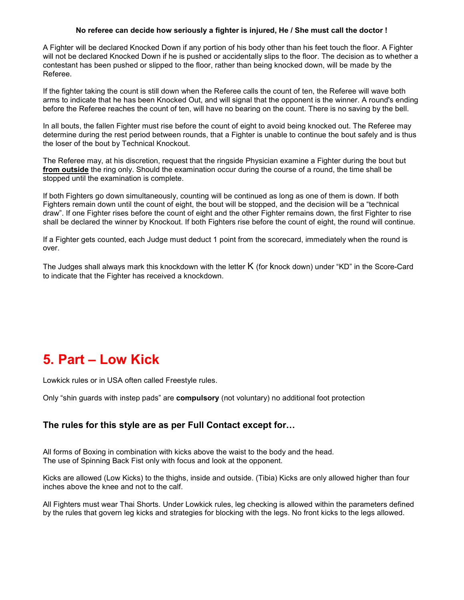#### No referee can decide how seriously a fighter is injured, He / She must call the doctor !

A Fighter will be declared Knocked Down if any portion of his body other than his feet touch the floor. A Fighter will not be declared Knocked Down if he is pushed or accidentally slips to the floor. The decision as to whether a contestant has been pushed or slipped to the floor, rather than being knocked down, will be made by the Referee.

If the fighter taking the count is still down when the Referee calls the count of ten, the Referee will wave both arms to indicate that he has been Knocked Out, and will signal that the opponent is the winner. A round's ending before the Referee reaches the count of ten, will have no bearing on the count. There is no saving by the bell.

In all bouts, the fallen Fighter must rise before the count of eight to avoid being knocked out. The Referee may determine during the rest period between rounds, that a Fighter is unable to continue the bout safely and is thus the loser of the bout by Technical Knockout.

The Referee may, at his discretion, request that the ringside Physician examine a Fighter during the bout but from outside the ring only. Should the examination occur during the course of a round, the time shall be stopped until the examination is complete.

If both Fighters go down simultaneously, counting will be continued as long as one of them is down. If both Fighters remain down until the count of eight, the bout will be stopped, and the decision will be a "technical draw". If one Fighter rises before the count of eight and the other Fighter remains down, the first Fighter to rise shall be declared the winner by Knockout. If both Fighters rise before the count of eight, the round will continue.

If a Fighter gets counted, each Judge must deduct 1 point from the scorecard, immediately when the round is over.

The Judges shall always mark this knockdown with the letter K (for knock down) under "KD" in the Score-Card to indicate that the Fighter has received a knockdown.

# 5. Part – Low Kick

Lowkick rules or in USA often called Freestyle rules.

Only "shin guards with instep pads" are **compulsory** (not voluntary) no additional foot protection

### The rules for this style are as per Full Contact except for…

All forms of Boxing in combination with kicks above the waist to the body and the head. The use of Spinning Back Fist only with focus and look at the opponent.

Kicks are allowed (Low Kicks) to the thighs, inside and outside. (Tibia) Kicks are only allowed higher than four inches above the knee and not to the calf.

All Fighters must wear Thai Shorts. Under Lowkick rules, leg checking is allowed within the parameters defined by the rules that govern leg kicks and strategies for blocking with the legs. No front kicks to the legs allowed.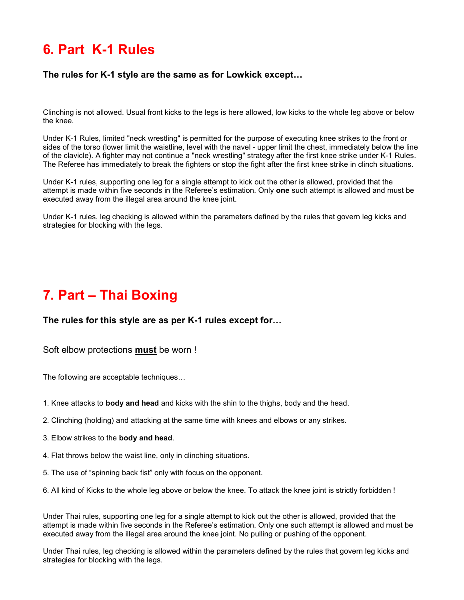# 6. Part K-1 Rules

### The rules for K-1 style are the same as for Lowkick except…

Clinching is not allowed. Usual front kicks to the legs is here allowed, low kicks to the whole leg above or below the knee.

Under K-1 Rules, limited "neck wrestling" is permitted for the purpose of executing knee strikes to the front or sides of the torso (lower limit the waistline, level with the navel - upper limit the chest, immediately below the line of the clavicle). A fighter may not continue a "neck wrestling" strategy after the first knee strike under K-1 Rules. The Referee has immediately to break the fighters or stop the fight after the first knee strike in clinch situations.

Under K-1 rules, supporting one leg for a single attempt to kick out the other is allowed, provided that the attempt is made within five seconds in the Referee's estimation. Only one such attempt is allowed and must be executed away from the illegal area around the knee joint.

Under K-1 rules, leg checking is allowed within the parameters defined by the rules that govern leg kicks and strategies for blocking with the legs.

# 7. Part – Thai Boxing

#### The rules for this style are as per K-1 rules except for…

#### Soft elbow protections must be worn !

The following are acceptable techniques…

- 1. Knee attacks to body and head and kicks with the shin to the thighs, body and the head.
- 2. Clinching (holding) and attacking at the same time with knees and elbows or any strikes.
- 3. Elbow strikes to the body and head.
- 4. Flat throws below the waist line, only in clinching situations.
- 5. The use of "spinning back fist" only with focus on the opponent.
- 6. All kind of Kicks to the whole leg above or below the knee. To attack the knee joint is strictly forbidden !

Under Thai rules, supporting one leg for a single attempt to kick out the other is allowed, provided that the attempt is made within five seconds in the Referee's estimation. Only one such attempt is allowed and must be executed away from the illegal area around the knee joint. No pulling or pushing of the opponent.

Under Thai rules, leg checking is allowed within the parameters defined by the rules that govern leg kicks and strategies for blocking with the legs.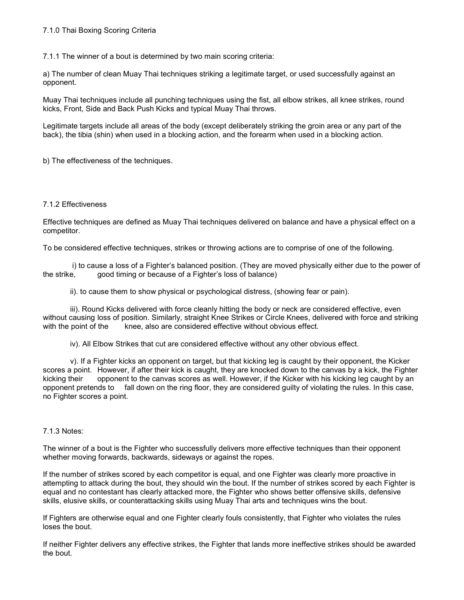7.1.1 The winner of a bout is determined by two main scoring criteria:

a) The number of clean Muay Thai techniques striking a legitimate target, or used successfully against an opponent.

Muay Thai techniques include all punching techniques using the fist, all elbow strikes, all knee strikes, round kicks, Front, Side and Back Push Kicks and typical Muay Thai throws.

Legitimate targets include all areas of the body (except deliberately striking the groin area or any part of the back), the tibia (shin) when used in a blocking action, and the forearm when used in a blocking action.

b) The effectiveness of the techniques.

#### 7.1.2 Effectiveness

Effective techniques are defined as Muay Thai techniques delivered on balance and have a physical effect on a competitor.

To be considered effective techniques, strikes or throwing actions are to comprise of one of the following.

 i) to cause a loss of a Fighter's balanced position. (They are moved physically either due to the power of the strike, good timing or because of a Fighter's loss of balance)

ii). to cause them to show physical or psychological distress, (showing fear or pain).

iii). Round Kicks delivered with force cleanly hitting the body or neck are considered effective, even without causing loss of position. Similarly, straight Knee Strikes or Circle Knees, delivered with force and striking with the point of the knee, also are considered effective without obvious effect.

iv). All Elbow Strikes that cut are considered effective without any other obvious effect.

v). If a Fighter kicks an opponent on target, but that kicking leg is caught by their opponent, the Kicker scores a point. However, if after their kick is caught, they are knocked down to the canvas by a kick, the Fighter kicking their opponent to the canvas scores as well. However, if the Kicker with his kicking leg caught by an opponent pretends to fall down on the ring floor, they are considered guilty of violating the rules. In this case, no Fighter scores a point.

#### 7.1.3 Notes:

The winner of a bout is the Fighter who successfully delivers more effective techniques than their opponent whether moving forwards, backwards, sideways or against the ropes.

If the number of strikes scored by each competitor is equal, and one Fighter was clearly more proactive in attempting to attack during the bout, they should win the bout. If the number of strikes scored by each Fighter is equal and no contestant has clearly attacked more, the Fighter who shows better offensive skills, defensive skills, elusive skills, or counterattacking skills using Muay Thai arts and techniques wins the bout.

If Fighters are otherwise equal and one Fighter clearly fouls consistently, that Fighter who violates the rules loses the bout.

If neither Fighter delivers any effective strikes, the Fighter that lands more ineffective strikes should be awarded the bout.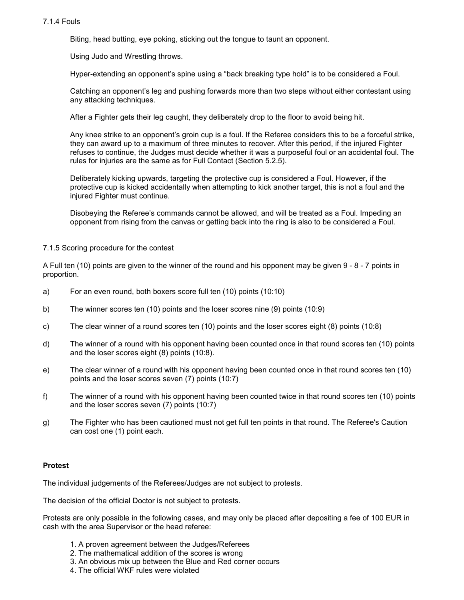#### 7.1.4 Fouls

Biting, head butting, eye poking, sticking out the tongue to taunt an opponent.

Using Judo and Wrestling throws.

Hyper-extending an opponent's spine using a "back breaking type hold" is to be considered a Foul.

 Catching an opponent's leg and pushing forwards more than two steps without either contestant using any attacking techniques.

After a Fighter gets their leg caught, they deliberately drop to the floor to avoid being hit.

Any knee strike to an opponent's groin cup is a foul. If the Referee considers this to be a forceful strike, they can award up to a maximum of three minutes to recover. After this period, if the injured Fighter refuses to continue, the Judges must decide whether it was a purposeful foul or an accidental foul. The rules for injuries are the same as for Full Contact (Section 5.2.5).

 Deliberately kicking upwards, targeting the protective cup is considered a Foul. However, if the protective cup is kicked accidentally when attempting to kick another target, this is not a foul and the injured Fighter must continue.

Disobeying the Referee's commands cannot be allowed, and will be treated as a Foul. Impeding an opponent from rising from the canvas or getting back into the ring is also to be considered a Foul.

#### 7.1.5 Scoring procedure for the contest

A Full ten (10) points are given to the winner of the round and his opponent may be given 9 - 8 - 7 points in proportion.

- a) For an even round, both boxers score full ten (10) points (10:10)
- b) The winner scores ten (10) points and the loser scores nine (9) points (10:9)
- c) The clear winner of a round scores ten (10) points and the loser scores eight (8) points (10:8)
- d) The winner of a round with his opponent having been counted once in that round scores ten (10) points and the loser scores eight (8) points (10:8).
- e) The clear winner of a round with his opponent having been counted once in that round scores ten (10) points and the loser scores seven (7) points (10:7)
- f) The winner of a round with his opponent having been counted twice in that round scores ten (10) points and the loser scores seven (7) points (10:7)
- g) The Fighter who has been cautioned must not get full ten points in that round. The Referee's Caution can cost one (1) point each.

#### Protest

The individual judgements of the Referees/Judges are not subject to protests.

The decision of the official Doctor is not subject to protests.

Protests are only possible in the following cases, and may only be placed after depositing a fee of 100 EUR in cash with the area Supervisor or the head referee:

- 1. A proven agreement between the Judges/Referees
- 2. The mathematical addition of the scores is wrong
- 3. An obvious mix up between the Blue and Red corner occurs
- 4. The official WKF rules were violated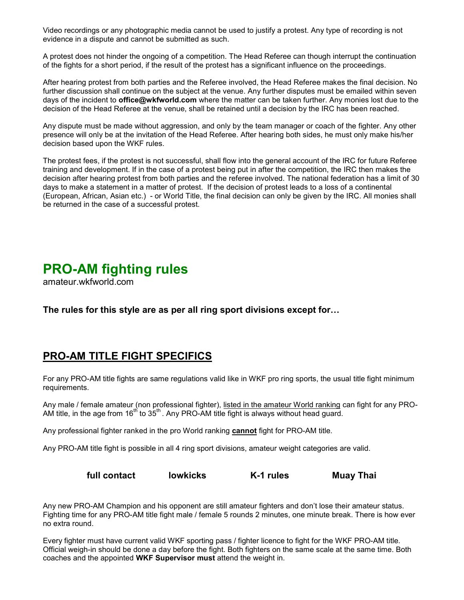Video recordings or any photographic media cannot be used to justify a protest. Any type of recording is not evidence in a dispute and cannot be submitted as such.

A protest does not hinder the ongoing of a competition. The Head Referee can though interrupt the continuation of the fights for a short period, if the result of the protest has a significant influence on the proceedings.

After hearing protest from both parties and the Referee involved, the Head Referee makes the final decision. No further discussion shall continue on the subject at the venue. Any further disputes must be emailed within seven days of the incident to **office@wkfworld.com** where the matter can be taken further. Any monies lost due to the decision of the Head Referee at the venue, shall be retained until a decision by the IRC has been reached.

Any dispute must be made without aggression, and only by the team manager or coach of the fighter. Any other presence will only be at the invitation of the Head Referee. After hearing both sides, he must only make his/her decision based upon the WKF rules.

The protest fees, if the protest is not successful, shall flow into the general account of the IRC for future Referee training and development. If in the case of a protest being put in after the competition, the IRC then makes the decision after hearing protest from both parties and the referee involved. The national federation has a limit of 30 days to make a statement in a matter of protest. If the decision of protest leads to a loss of a continental (European, African, Asian etc.) - or World Title, the final decision can only be given by the IRC. All monies shall be returned in the case of a successful protest.

# PRO-AM fighting rules

amateur.wkfworld.com

The rules for this style are as per all ring sport divisions except for…

# PRO-AM TITLE FIGHT SPECIFICS

For any PRO-AM title fights are same regulations valid like in WKF pro ring sports, the usual title fight minimum requirements.

Any male / female amateur (non professional fighter), listed in the amateur World ranking can fight for any PRO-AM title, in the age from  $16<sup>th</sup>$  to  $35<sup>th</sup>$ . Any PRO-AM title fight is always without head guard.

Any professional fighter ranked in the pro World ranking cannot fight for PRO-AM title.

Any PRO-AM title fight is possible in all 4 ring sport divisions, amateur weight categories are valid.

full contact lowkicks K-1 rules Muay Thai

Any new PRO-AM Champion and his opponent are still amateur fighters and don't lose their amateur status. Fighting time for any PRO-AM title fight male / female 5 rounds 2 minutes, one minute break. There is how ever no extra round.

Every fighter must have current valid WKF sporting pass / fighter licence to fight for the WKF PRO-AM title. Official weigh-in should be done a day before the fight. Both fighters on the same scale at the same time. Both coaches and the appointed WKF Supervisor must attend the weight in.